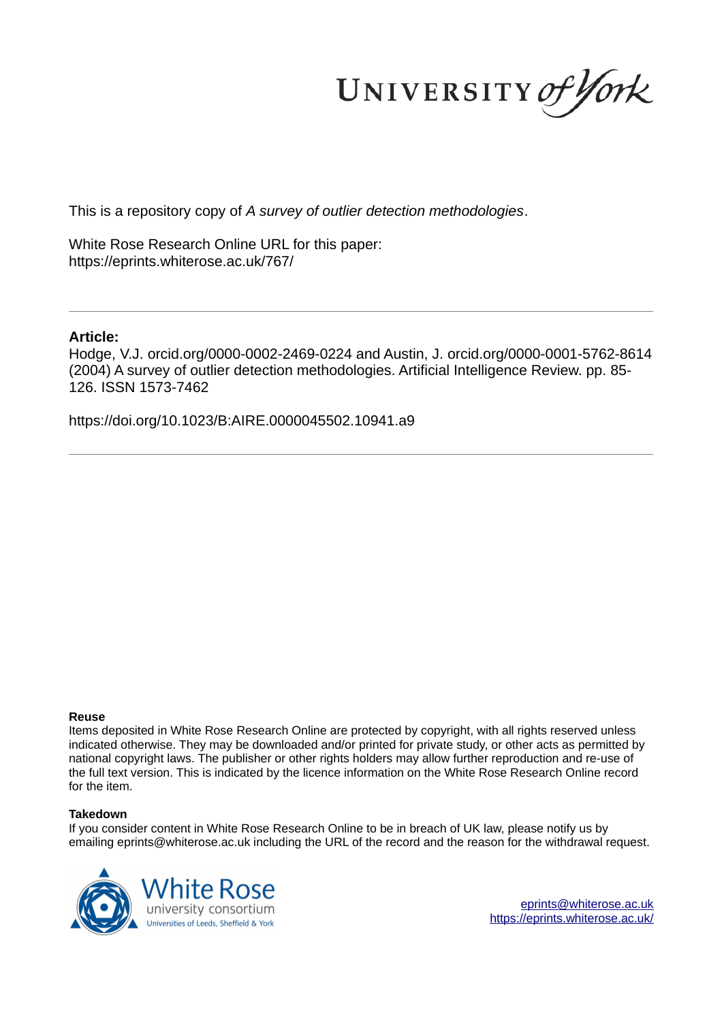UNIVERSITY of York

This is a repository copy of *A survey of outlier detection methodologies*.

White Rose Research Online URL for this paper: https://eprints.whiterose.ac.uk/767/

# **Article:**

Hodge, V.J. orcid.org/0000-0002-2469-0224 and Austin, J. orcid.org/0000-0001-5762-8614 (2004) A survey of outlier detection methodologies. Artificial Intelligence Review. pp. 85- 126. ISSN 1573-7462

https://doi.org/10.1023/B:AIRE.0000045502.10941.a9

# **Reuse**

Items deposited in White Rose Research Online are protected by copyright, with all rights reserved unless indicated otherwise. They may be downloaded and/or printed for private study, or other acts as permitted by national copyright laws. The publisher or other rights holders may allow further reproduction and re-use of the full text version. This is indicated by the licence information on the White Rose Research Online record for the item.

# **Takedown**

If you consider content in White Rose Research Online to be in breach of UK law, please notify us by emailing eprints@whiterose.ac.uk including the URL of the record and the reason for the withdrawal request.



eprints@whiterose.ac.uk https://eprints.whiterose.ac.uk/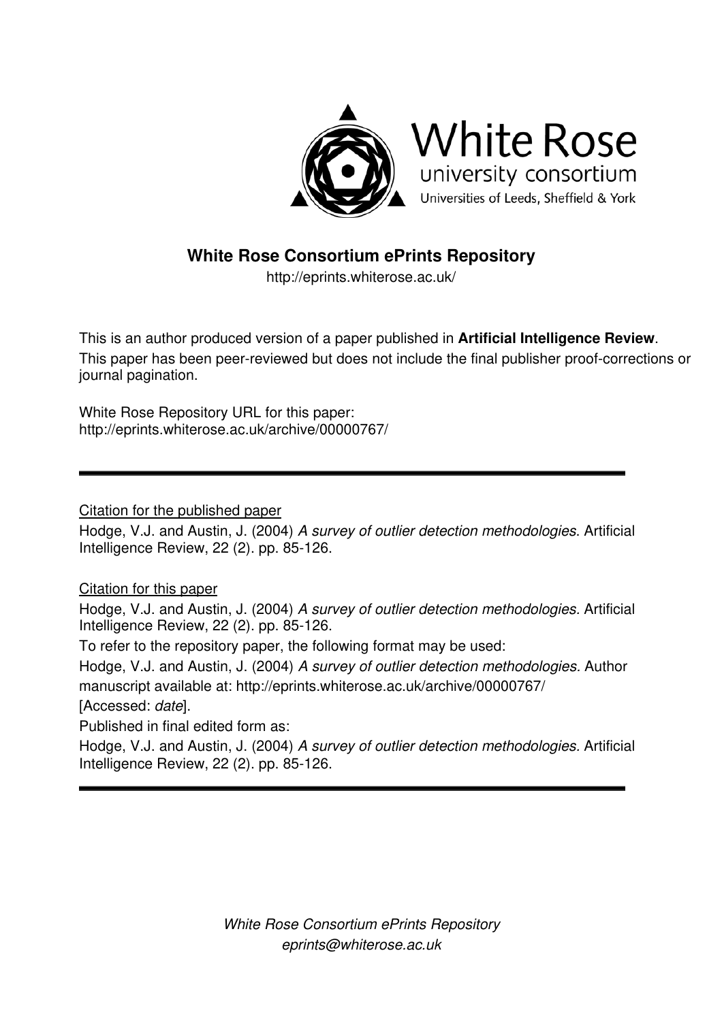

# **White Rose Consortium ePrints Repository**

http://eprints.whiterose.ac.uk/

This is an author produced version of a paper published in **Artificial Intelligence Review**. This paper has been peer-reviewed but does not include the final publisher proof-corrections or journal pagination.

White Rose Repository URL for this paper: http://eprints.whiterose.ac.uk/archive/00000767/

Citation for the published paper

Hodge, V.J. and Austin, J. (2004) *A survey of outlier detection methodologies*. Artificial Intelligence Review, 22 (2). pp. 85-126.

Citation for this paper

Hodge, V.J. and Austin, J. (2004) *A survey of outlier detection methodologies.* Artificial Intelligence Review, 22 (2). pp. 85-126.

To refer to the repository paper, the following format may be used:

Hodge, V.J. and Austin, J. (2004) *A survey of outlier detection methodologies.* Author manuscript available at: http://eprints.whiterose.ac.uk/archive/00000767/ [Accessed: *date*].

Published in final edited form as:

Hodge, V.J. and Austin, J. (2004) *A survey of outlier detection methodologies.* Artificial Intelligence Review, 22 (2). pp. 85-126.

> *White Rose Consortium ePrints Repository eprints@whiterose.ac.uk*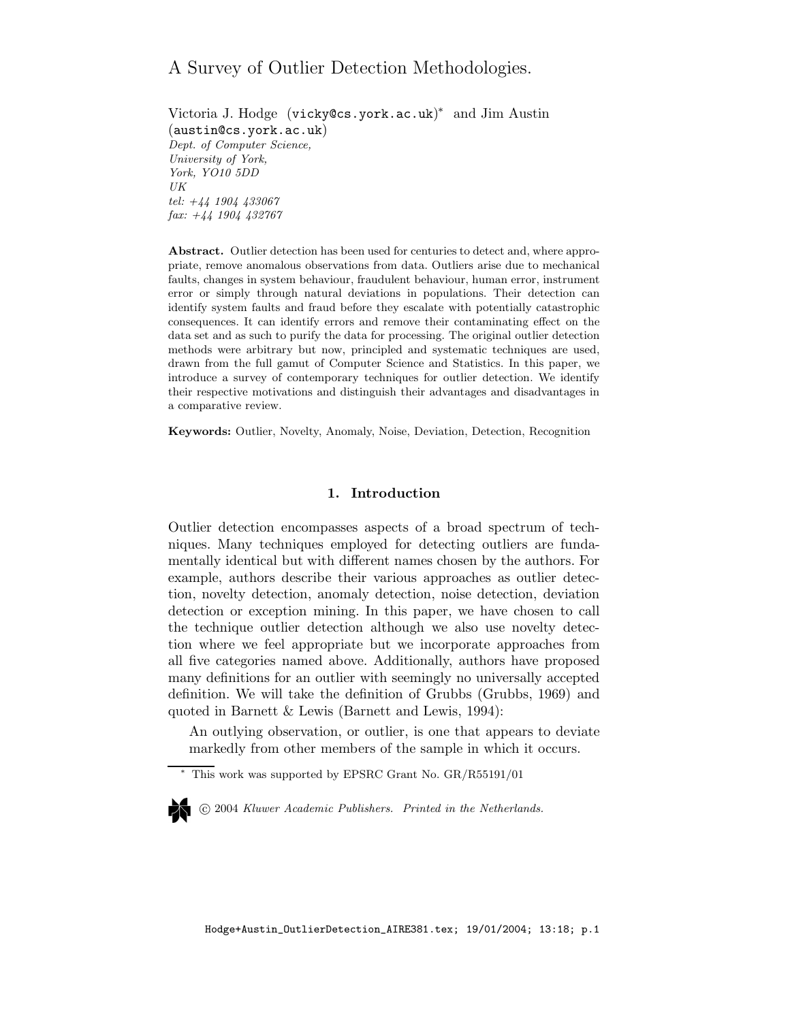# A Survey of Outlier Detection Methodologies.

Victoria J. Hodge (vicky@cs.york.ac.uk) <sup>∗</sup> and Jim Austin (austin@cs.york.ac.uk) *Dept. of Computer Science, University of York, York, YO10 5DD UK tel: +44 1904 433067 fax: +44 1904 432767*

Abstract. Outlier detection has been used for centuries to detect and, where appropriate, remove anomalous observations from data. Outliers arise due to mechanical faults, changes in system behaviour, fraudulent behaviour, human error, instrument error or simply through natural deviations in populations. Their detection can identify system faults and fraud before they escalate with potentially catastrophic consequences. It can identify errors and remove their contaminating effect on the data set and as such to purify the data for processing. The original outlier detection methods were arbitrary but now, principled and systematic techniques are used, drawn from the full gamut of Computer Science and Statistics. In this paper, we introduce a survey of contemporary techniques for outlier detection. We identify their respective motivations and distinguish their advantages and disadvantages in a comparative review.

Keywords: Outlier, Novelty, Anomaly, Noise, Deviation, Detection, Recognition

## 1. Introduction

Outlier detection encompasses aspects of a broad spectrum of techniques. Many techniques employed for detecting outliers are fundamentally identical but with different names chosen by the authors. For example, authors describe their various approaches as outlier detection, novelty detection, anomaly detection, noise detection, deviation detection or exception mining. In this paper, we have chosen to call the technique outlier detection although we also use novelty detection where we feel appropriate but we incorporate approaches from all five categories named above. Additionally, authors have proposed many definitions for an outlier with seemingly no universally accepted definition. We will take the definition of Grubbs (Grubbs, 1969) and quoted in Barnett & Lewis (Barnett and Lewis, 1994):

An outlying observation, or outlier, is one that appears to deviate markedly from other members of the sample in which it occurs.

This work was supported by EPSRC Grant No. GR/R55191/01

c 2004 *Kluwer Academic Publishers. Printed in the Netherlands.*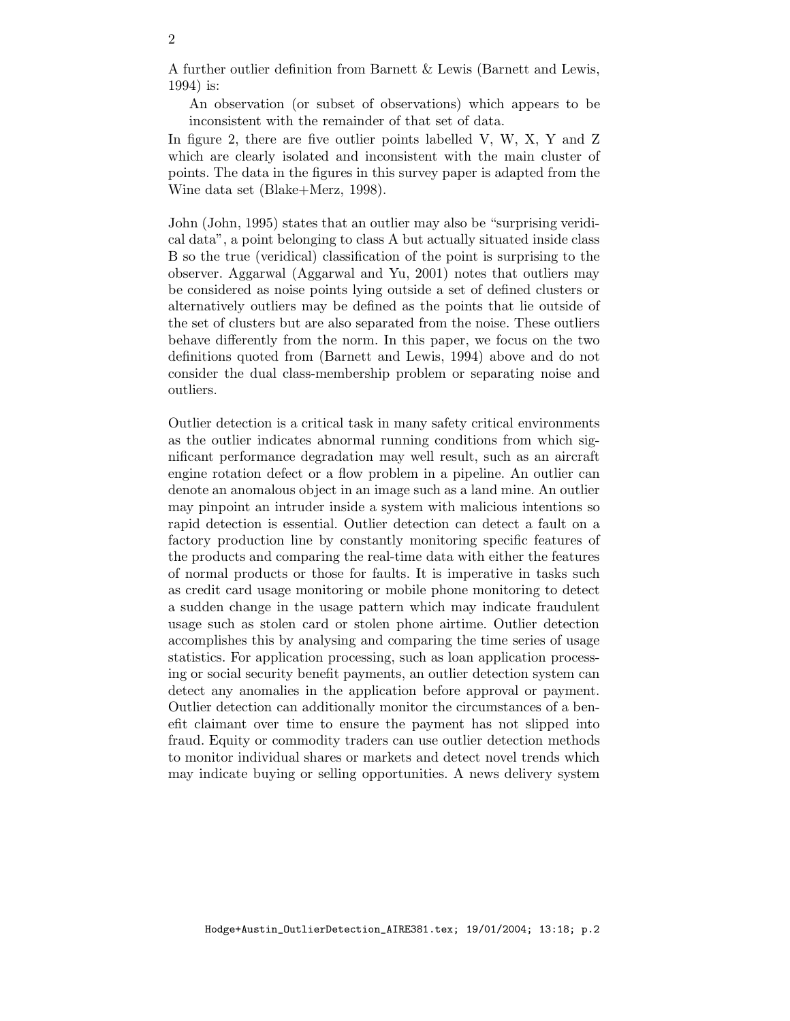A further outlier definition from Barnett & Lewis (Barnett and Lewis, 1994) is:

An observation (or subset of observations) which appears to be inconsistent with the remainder of that set of data.

In figure 2, there are five outlier points labelled V, W, X, Y and Z which are clearly isolated and inconsistent with the main cluster of points. The data in the figures in this survey paper is adapted from the Wine data set (Blake+Merz, 1998).

John (John, 1995) states that an outlier may also be "surprising veridical data", a point belonging to class A but actually situated inside class B so the true (veridical) classification of the point is surprising to the observer. Aggarwal (Aggarwal and Yu, 2001) notes that outliers may be considered as noise points lying outside a set of defined clusters or alternatively outliers may be defined as the points that lie outside of the set of clusters but are also separated from the noise. These outliers behave differently from the norm. In this paper, we focus on the two definitions quoted from (Barnett and Lewis, 1994) above and do not consider the dual class-membership problem or separating noise and outliers.

Outlier detection is a critical task in many safety critical environments as the outlier indicates abnormal running conditions from which significant performance degradation may well result, such as an aircraft engine rotation defect or a flow problem in a pipeline. An outlier can denote an anomalous object in an image such as a land mine. An outlier may pinpoint an intruder inside a system with malicious intentions so rapid detection is essential. Outlier detection can detect a fault on a factory production line by constantly monitoring specific features of the products and comparing the real-time data with either the features of normal products or those for faults. It is imperative in tasks such as credit card usage monitoring or mobile phone monitoring to detect a sudden change in the usage pattern which may indicate fraudulent usage such as stolen card or stolen phone airtime. Outlier detection accomplishes this by analysing and comparing the time series of usage statistics. For application processing, such as loan application processing or social security benefit payments, an outlier detection system can detect any anomalies in the application before approval or payment. Outlier detection can additionally monitor the circumstances of a benefit claimant over time to ensure the payment has not slipped into fraud. Equity or commodity traders can use outlier detection methods to monitor individual shares or markets and detect novel trends which may indicate buying or selling opportunities. A news delivery system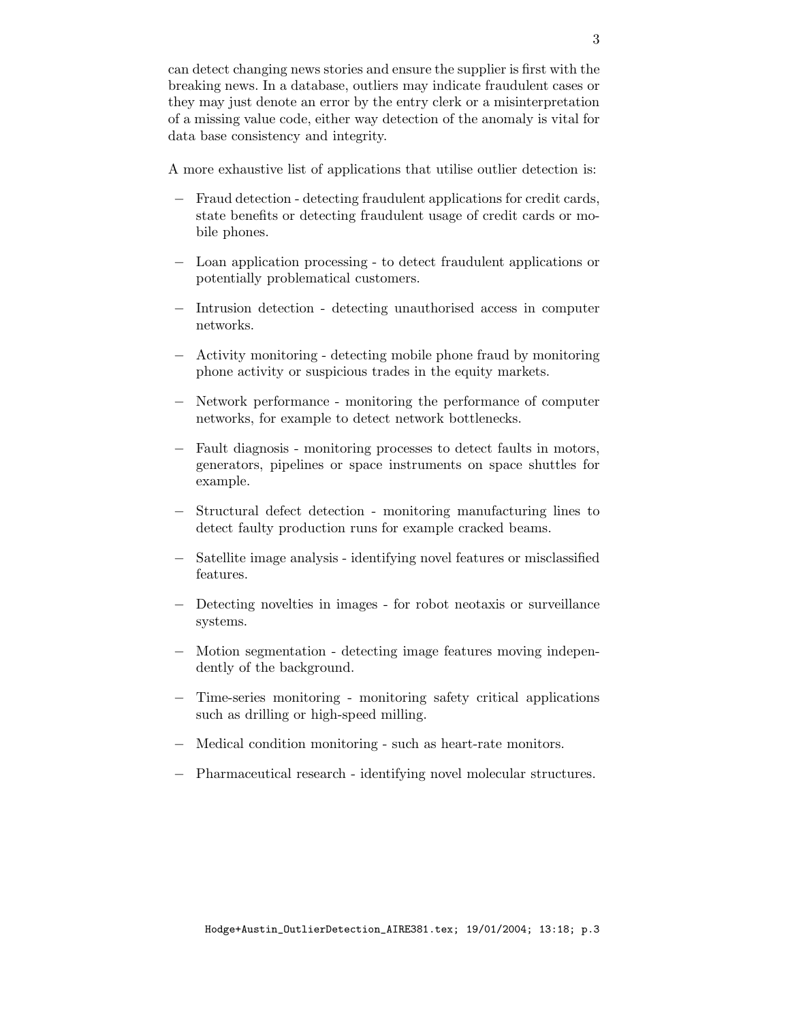can detect changing news stories and ensure the supplier is first with the breaking news. In a database, outliers may indicate fraudulent cases or they may just denote an error by the entry clerk or a misinterpretation of a missing value code, either way detection of the anomaly is vital for data base consistency and integrity.

A more exhaustive list of applications that utilise outlier detection is:

- − Fraud detection detecting fraudulent applications for credit cards, state benefits or detecting fraudulent usage of credit cards or mobile phones.
- − Loan application processing to detect fraudulent applications or potentially problematical customers.
- − Intrusion detection detecting unauthorised access in computer networks.
- − Activity monitoring detecting mobile phone fraud by monitoring phone activity or suspicious trades in the equity markets.
- − Network performance monitoring the performance of computer networks, for example to detect network bottlenecks.
- − Fault diagnosis monitoring processes to detect faults in motors, generators, pipelines or space instruments on space shuttles for example.
- − Structural defect detection monitoring manufacturing lines to detect faulty production runs for example cracked beams.
- Satellite image analysis identifying novel features or misclassified features.
- − Detecting novelties in images for robot neotaxis or surveillance systems.
- − Motion segmentation detecting image features moving independently of the background.
- − Time-series monitoring monitoring safety critical applications such as drilling or high-speed milling.
- − Medical condition monitoring such as heart-rate monitors.
- − Pharmaceutical research identifying novel molecular structures.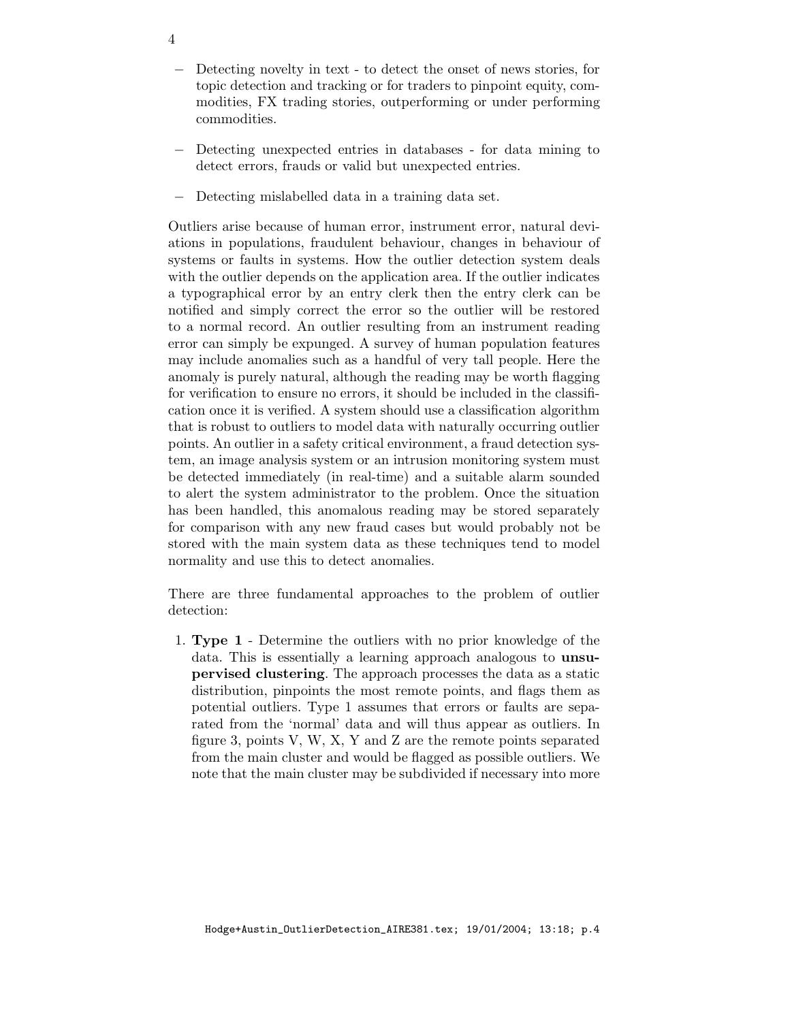- Detecting novelty in text to detect the onset of news stories, for topic detection and tracking or for traders to pinpoint equity, commodities, FX trading stories, outperforming or under performing commodities.
- − Detecting unexpected entries in databases for data mining to detect errors, frauds or valid but unexpected entries.
- Detecting mislabelled data in a training data set.

Outliers arise because of human error, instrument error, natural deviations in populations, fraudulent behaviour, changes in behaviour of systems or faults in systems. How the outlier detection system deals with the outlier depends on the application area. If the outlier indicates a typographical error by an entry clerk then the entry clerk can be notified and simply correct the error so the outlier will be restored to a normal record. An outlier resulting from an instrument reading error can simply be expunged. A survey of human population features may include anomalies such as a handful of very tall people. Here the anomaly is purely natural, although the reading may be worth flagging for verification to ensure no errors, it should be included in the classification once it is verified. A system should use a classification algorithm that is robust to outliers to model data with naturally occurring outlier points. An outlier in a safety critical environment, a fraud detection system, an image analysis system or an intrusion monitoring system must be detected immediately (in real-time) and a suitable alarm sounded to alert the system administrator to the problem. Once the situation has been handled, this anomalous reading may be stored separately for comparison with any new fraud cases but would probably not be stored with the main system data as these techniques tend to model normality and use this to detect anomalies.

There are three fundamental approaches to the problem of outlier detection:

1. Type 1 - Determine the outliers with no prior knowledge of the data. This is essentially a learning approach analogous to unsupervised clustering. The approach processes the data as a static distribution, pinpoints the most remote points, and flags them as potential outliers. Type 1 assumes that errors or faults are separated from the 'normal' data and will thus appear as outliers. In figure 3, points V, W, X, Y and Z are the remote points separated from the main cluster and would be flagged as possible outliers. We note that the main cluster may be subdivided if necessary into more

4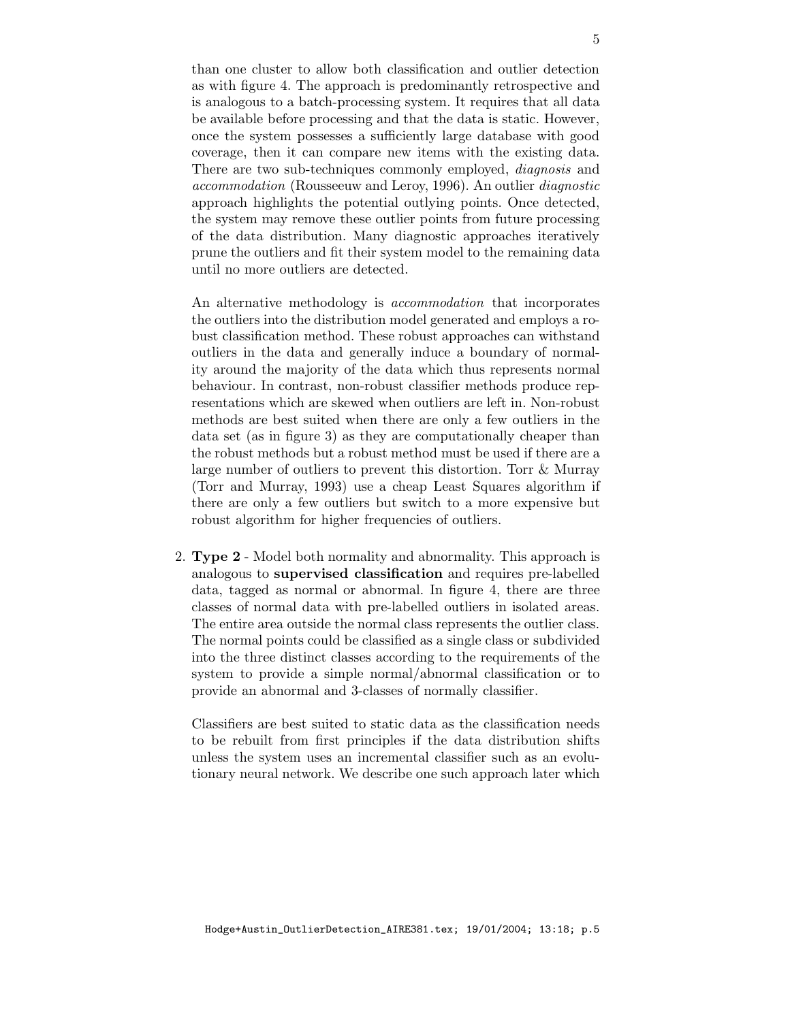than one cluster to allow both classification and outlier detection as with figure 4. The approach is predominantly retrospective and is analogous to a batch-processing system. It requires that all data be available before processing and that the data is static. However, once the system possesses a sufficiently large database with good coverage, then it can compare new items with the existing data. There are two sub-techniques commonly employed, *diagnosis* and accommodation (Rousseeuw and Leroy, 1996). An outlier diagnostic approach highlights the potential outlying points. Once detected, the system may remove these outlier points from future processing of the data distribution. Many diagnostic approaches iteratively prune the outliers and fit their system model to the remaining data until no more outliers are detected.

An alternative methodology is accommodation that incorporates the outliers into the distribution model generated and employs a robust classification method. These robust approaches can withstand outliers in the data and generally induce a boundary of normality around the majority of the data which thus represents normal behaviour. In contrast, non-robust classifier methods produce representations which are skewed when outliers are left in. Non-robust methods are best suited when there are only a few outliers in the data set (as in figure 3) as they are computationally cheaper than the robust methods but a robust method must be used if there are a large number of outliers to prevent this distortion. Torr & Murray (Torr and Murray, 1993) use a cheap Least Squares algorithm if there are only a few outliers but switch to a more expensive but robust algorithm for higher frequencies of outliers.

2. Type 2 - Model both normality and abnormality. This approach is analogous to supervised classification and requires pre-labelled data, tagged as normal or abnormal. In figure 4, there are three classes of normal data with pre-labelled outliers in isolated areas. The entire area outside the normal class represents the outlier class. The normal points could be classified as a single class or subdivided into the three distinct classes according to the requirements of the system to provide a simple normal/abnormal classification or to provide an abnormal and 3-classes of normally classifier.

Classifiers are best suited to static data as the classification needs to be rebuilt from first principles if the data distribution shifts unless the system uses an incremental classifier such as an evolutionary neural network. We describe one such approach later which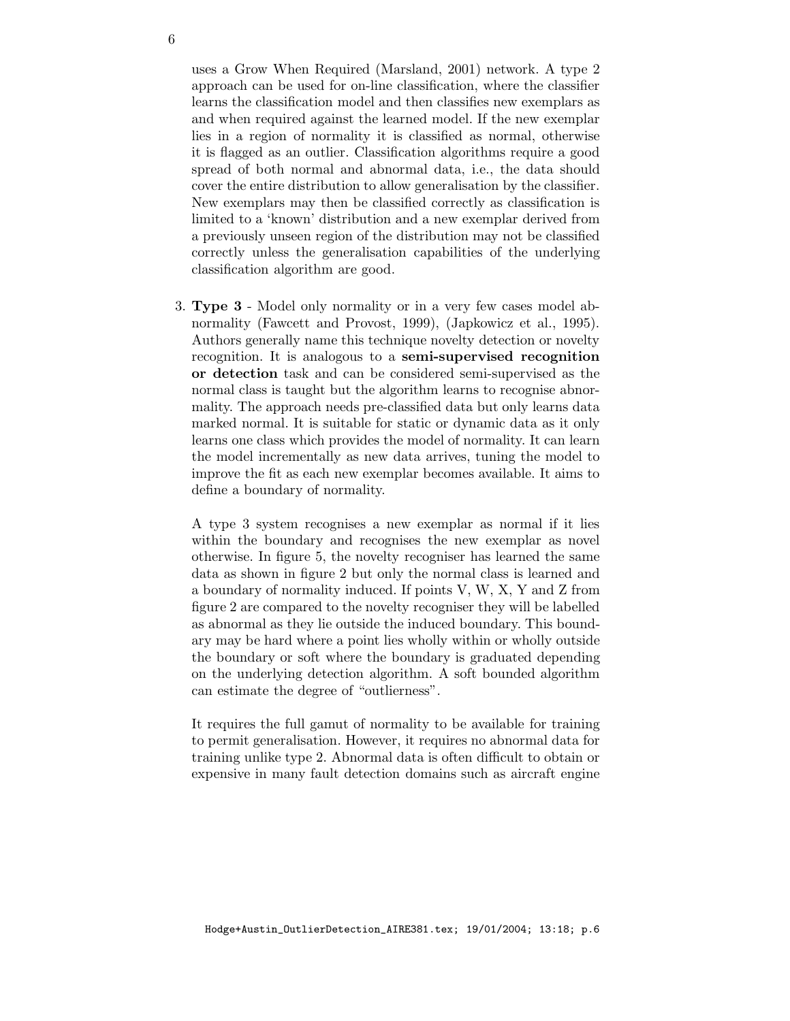uses a Grow When Required (Marsland, 2001) network. A type 2 approach can be used for on-line classification, where the classifier learns the classification model and then classifies new exemplars as and when required against the learned model. If the new exemplar lies in a region of normality it is classified as normal, otherwise it is flagged as an outlier. Classification algorithms require a good spread of both normal and abnormal data, i.e., the data should cover the entire distribution to allow generalisation by the classifier. New exemplars may then be classified correctly as classification is limited to a 'known' distribution and a new exemplar derived from a previously unseen region of the distribution may not be classified correctly unless the generalisation capabilities of the underlying classification algorithm are good.

3. Type 3 - Model only normality or in a very few cases model abnormality (Fawcett and Provost, 1999), (Japkowicz et al., 1995). Authors generally name this technique novelty detection or novelty recognition. It is analogous to a semi-supervised recognition or detection task and can be considered semi-supervised as the normal class is taught but the algorithm learns to recognise abnormality. The approach needs pre-classified data but only learns data marked normal. It is suitable for static or dynamic data as it only learns one class which provides the model of normality. It can learn the model incrementally as new data arrives, tuning the model to improve the fit as each new exemplar becomes available. It aims to define a boundary of normality.

A type 3 system recognises a new exemplar as normal if it lies within the boundary and recognises the new exemplar as novel otherwise. In figure 5, the novelty recogniser has learned the same data as shown in figure 2 but only the normal class is learned and a boundary of normality induced. If points V, W, X, Y and Z from figure 2 are compared to the novelty recogniser they will be labelled as abnormal as they lie outside the induced boundary. This boundary may be hard where a point lies wholly within or wholly outside the boundary or soft where the boundary is graduated depending on the underlying detection algorithm. A soft bounded algorithm can estimate the degree of "outlierness".

It requires the full gamut of normality to be available for training to permit generalisation. However, it requires no abnormal data for training unlike type 2. Abnormal data is often difficult to obtain or expensive in many fault detection domains such as aircraft engine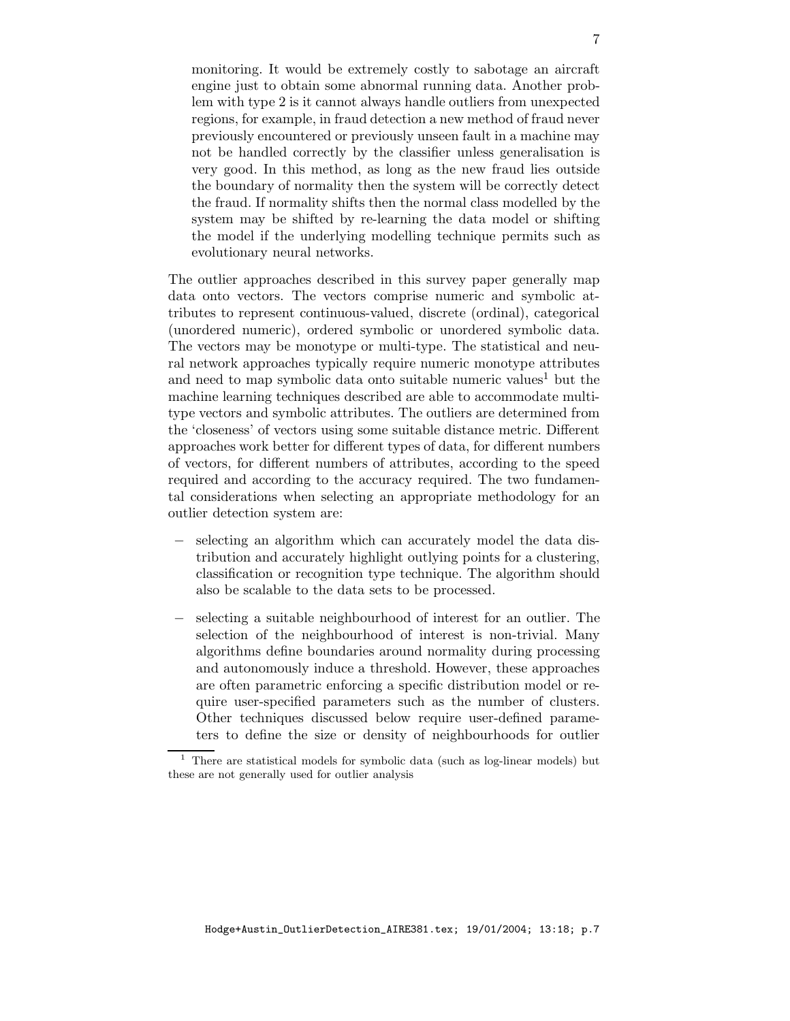monitoring. It would be extremely costly to sabotage an aircraft engine just to obtain some abnormal running data. Another problem with type 2 is it cannot always handle outliers from unexpected regions, for example, in fraud detection a new method of fraud never previously encountered or previously unseen fault in a machine may not be handled correctly by the classifier unless generalisation is very good. In this method, as long as the new fraud lies outside the boundary of normality then the system will be correctly detect the fraud. If normality shifts then the normal class modelled by the system may be shifted by re-learning the data model or shifting the model if the underlying modelling technique permits such as evolutionary neural networks.

The outlier approaches described in this survey paper generally map data onto vectors. The vectors comprise numeric and symbolic attributes to represent continuous-valued, discrete (ordinal), categorical (unordered numeric), ordered symbolic or unordered symbolic data. The vectors may be monotype or multi-type. The statistical and neural network approaches typically require numeric monotype attributes and need to map symbolic data onto suitable numeric values<sup>1</sup> but the machine learning techniques described are able to accommodate multitype vectors and symbolic attributes. The outliers are determined from the 'closeness' of vectors using some suitable distance metric. Different approaches work better for different types of data, for different numbers of vectors, for different numbers of attributes, according to the speed required and according to the accuracy required. The two fundamental considerations when selecting an appropriate methodology for an outlier detection system are:

- selecting an algorithm which can accurately model the data distribution and accurately highlight outlying points for a clustering, classification or recognition type technique. The algorithm should also be scalable to the data sets to be processed.
- selecting a suitable neighbourhood of interest for an outlier. The selection of the neighbourhood of interest is non-trivial. Many algorithms define boundaries around normality during processing and autonomously induce a threshold. However, these approaches are often parametric enforcing a specific distribution model or require user-specified parameters such as the number of clusters. Other techniques discussed below require user-defined parameters to define the size or density of neighbourhoods for outlier

<sup>&</sup>lt;sup>1</sup> There are statistical models for symbolic data (such as log-linear models) but these are not generally used for outlier analysis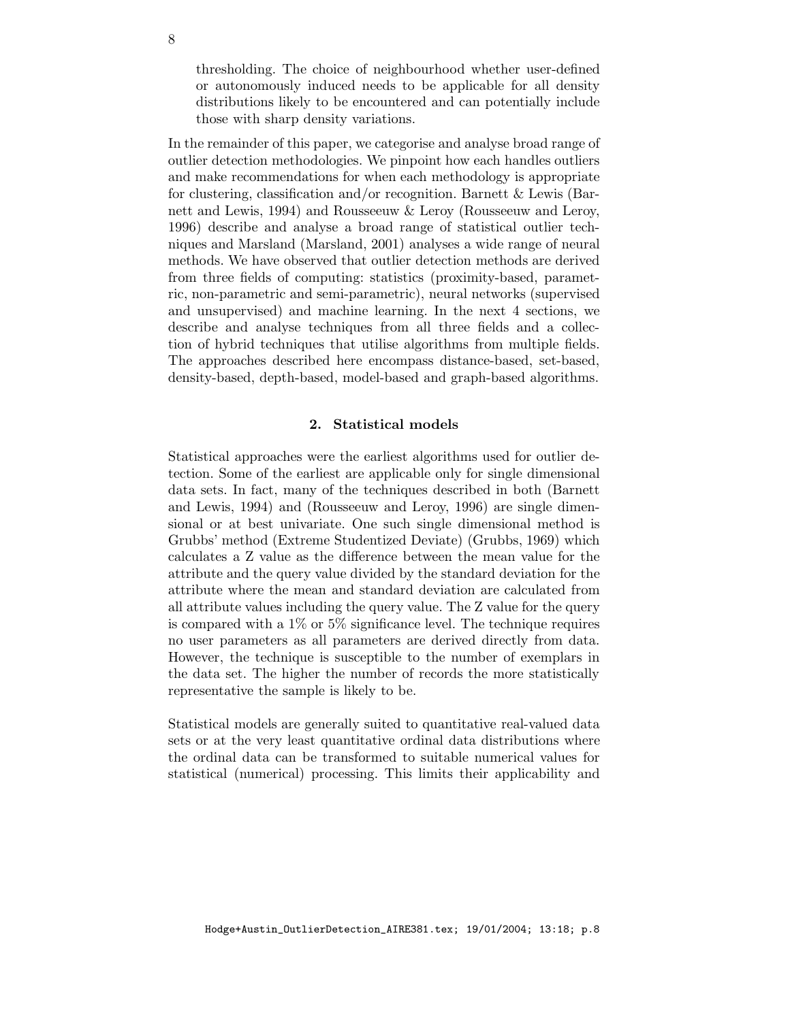thresholding. The choice of neighbourhood whether user-defined or autonomously induced needs to be applicable for all density distributions likely to be encountered and can potentially include those with sharp density variations.

In the remainder of this paper, we categorise and analyse broad range of outlier detection methodologies. We pinpoint how each handles outliers and make recommendations for when each methodology is appropriate for clustering, classification and/or recognition. Barnett & Lewis (Barnett and Lewis, 1994) and Rousseeuw & Leroy (Rousseeuw and Leroy, 1996) describe and analyse a broad range of statistical outlier techniques and Marsland (Marsland, 2001) analyses a wide range of neural methods. We have observed that outlier detection methods are derived from three fields of computing: statistics (proximity-based, parametric, non-parametric and semi-parametric), neural networks (supervised and unsupervised) and machine learning. In the next 4 sections, we describe and analyse techniques from all three fields and a collection of hybrid techniques that utilise algorithms from multiple fields. The approaches described here encompass distance-based, set-based, density-based, depth-based, model-based and graph-based algorithms.

# 2. Statistical models

Statistical approaches were the earliest algorithms used for outlier detection. Some of the earliest are applicable only for single dimensional data sets. In fact, many of the techniques described in both (Barnett and Lewis, 1994) and (Rousseeuw and Leroy, 1996) are single dimensional or at best univariate. One such single dimensional method is Grubbs' method (Extreme Studentized Deviate) (Grubbs, 1969) which calculates a Z value as the difference between the mean value for the attribute and the query value divided by the standard deviation for the attribute where the mean and standard deviation are calculated from all attribute values including the query value. The Z value for the query is compared with a 1% or 5% significance level. The technique requires no user parameters as all parameters are derived directly from data. However, the technique is susceptible to the number of exemplars in the data set. The higher the number of records the more statistically representative the sample is likely to be.

Statistical models are generally suited to quantitative real-valued data sets or at the very least quantitative ordinal data distributions where the ordinal data can be transformed to suitable numerical values for statistical (numerical) processing. This limits their applicability and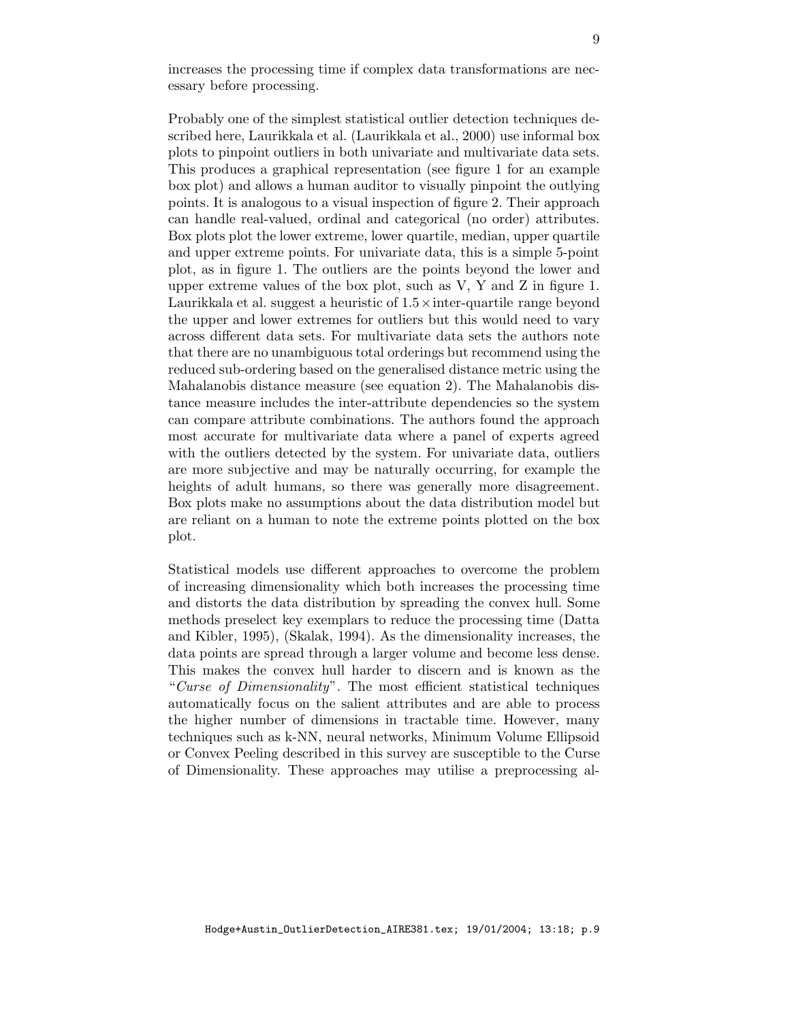increases the processing time if complex data transformations are necessary before processing.

Probably one of the simplest statistical outlier detection techniques described here, Laurikkala et al. (Laurikkala et al., 2000) use informal box plots to pinpoint outliers in both univariate and multivariate data sets. This produces a graphical representation (see figure 1 for an example box plot) and allows a human auditor to visually pinpoint the outlying points. It is analogous to a visual inspection of figure 2. Their approach can handle real-valued, ordinal and categorical (no order) attributes. Box plots plot the lower extreme, lower quartile, median, upper quartile and upper extreme points. For univariate data, this is a simple 5-point plot, as in figure 1. The outliers are the points beyond the lower and upper extreme values of the box plot, such as V, Y and Z in figure 1. Laurikkala et al. suggest a heuristic of  $1.5 \times$  inter-quartile range beyond the upper and lower extremes for outliers but this would need to vary across different data sets. For multivariate data sets the authors note that there are no unambiguous total orderings but recommend using the reduced sub-ordering based on the generalised distance metric using the Mahalanobis distance measure (see equation 2). The Mahalanobis distance measure includes the inter-attribute dependencies so the system can compare attribute combinations. The authors found the approach most accurate for multivariate data where a panel of experts agreed with the outliers detected by the system. For univariate data, outliers are more subjective and may be naturally occurring, for example the heights of adult humans, so there was generally more disagreement. Box plots make no assumptions about the data distribution model but are reliant on a human to note the extreme points plotted on the box plot.

Statistical models use different approaches to overcome the problem of increasing dimensionality which both increases the processing time and distorts the data distribution by spreading the convex hull. Some methods preselect key exemplars to reduce the processing time (Datta and Kibler, 1995), (Skalak, 1994). As the dimensionality increases, the data points are spread through a larger volume and become less dense. This makes the convex hull harder to discern and is known as the "Curse of Dimensionality". The most efficient statistical techniques automatically focus on the salient attributes and are able to process the higher number of dimensions in tractable time. However, many techniques such as k-NN, neural networks, Minimum Volume Ellipsoid or Convex Peeling described in this survey are susceptible to the Curse of Dimensionality. These approaches may utilise a preprocessing al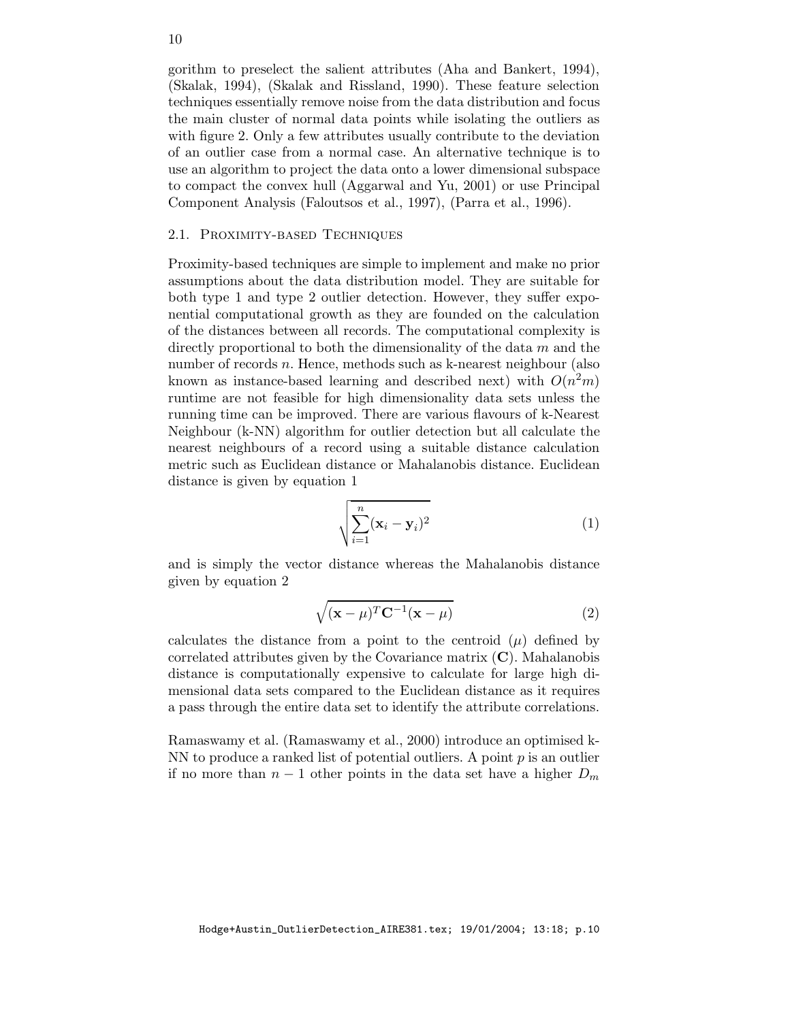gorithm to preselect the salient attributes (Aha and Bankert, 1994), (Skalak, 1994), (Skalak and Rissland, 1990). These feature selection techniques essentially remove noise from the data distribution and focus the main cluster of normal data points while isolating the outliers as with figure 2. Only a few attributes usually contribute to the deviation of an outlier case from a normal case. An alternative technique is to use an algorithm to project the data onto a lower dimensional subspace to compact the convex hull (Aggarwal and Yu, 2001) or use Principal Component Analysis (Faloutsos et al., 1997), (Parra et al., 1996).

## 2.1. Proximity-based Techniques

Proximity-based techniques are simple to implement and make no prior assumptions about the data distribution model. They are suitable for both type 1 and type 2 outlier detection. However, they suffer exponential computational growth as they are founded on the calculation of the distances between all records. The computational complexity is directly proportional to both the dimensionality of the data m and the number of records *n*. Hence, methods such as k-nearest neighbour (also known as instance-based learning and described next) with  $O(n^2m)$ runtime are not feasible for high dimensionality data sets unless the running time can be improved. There are various flavours of k-Nearest Neighbour (k-NN) algorithm for outlier detection but all calculate the nearest neighbours of a record using a suitable distance calculation metric such as Euclidean distance or Mahalanobis distance. Euclidean distance is given by equation 1

$$
\sqrt{\sum_{i=1}^{n} (\mathbf{x}_i - \mathbf{y}_i)^2}
$$
 (1)

and is simply the vector distance whereas the Mahalanobis distance given by equation 2

$$
\sqrt{(\mathbf{x} - \mu)^T \mathbf{C}^{-1} (\mathbf{x} - \mu)}
$$
 (2)

calculates the distance from a point to the centroid  $(\mu)$  defined by correlated attributes given by the Covariance matrix  $(C)$ . Mahalanobis distance is computationally expensive to calculate for large high dimensional data sets compared to the Euclidean distance as it requires a pass through the entire data set to identify the attribute correlations.

Ramaswamy et al. (Ramaswamy et al., 2000) introduce an optimised k-NN to produce a ranked list of potential outliers. A point  $p$  is an outlier if no more than  $n-1$  other points in the data set have a higher  $D_m$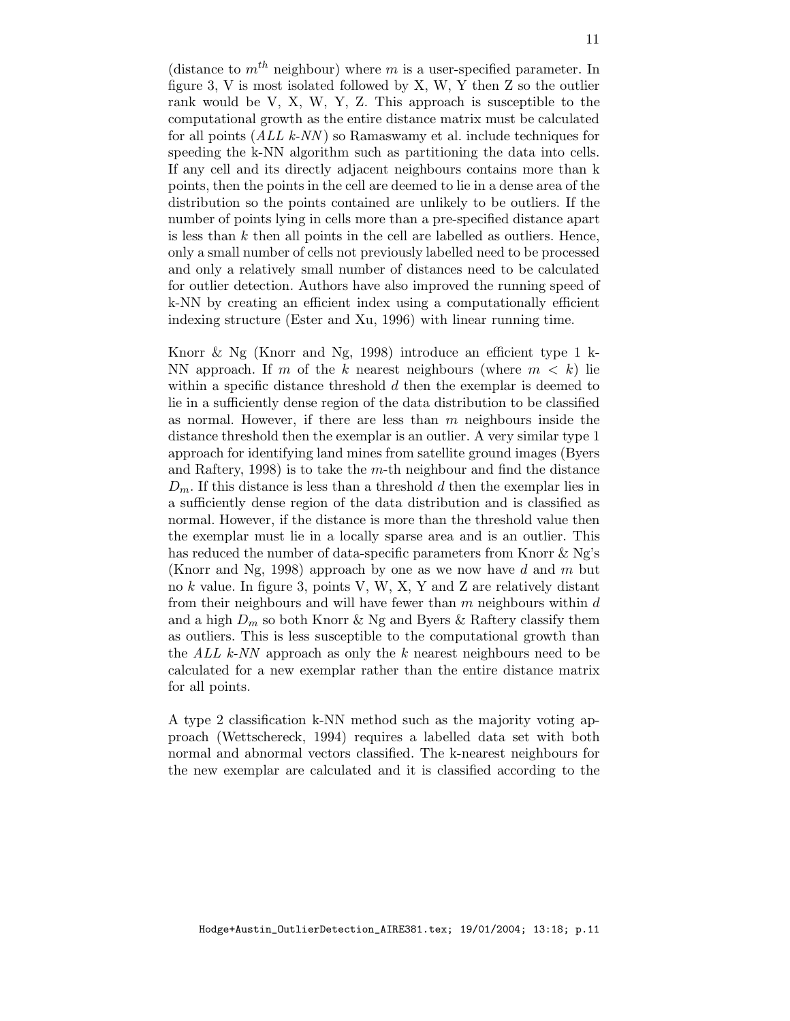(distance to  $m^{th}$  neighbour) where m is a user-specified parameter. In figure 3, V is most isolated followed by  $X$ ,  $W$ ,  $Y$  then  $Z$  so the outlier rank would be V, X, W, Y, Z. This approach is susceptible to the computational growth as the entire distance matrix must be calculated for all points  $(ALL\ k\text{-}NN)$  so Ramaswamy et al. include techniques for speeding the k-NN algorithm such as partitioning the data into cells. If any cell and its directly adjacent neighbours contains more than k points, then the points in the cell are deemed to lie in a dense area of the distribution so the points contained are unlikely to be outliers. If the number of points lying in cells more than a pre-specified distance apart is less than  $k$  then all points in the cell are labelled as outliers. Hence, only a small number of cells not previously labelled need to be processed and only a relatively small number of distances need to be calculated for outlier detection. Authors have also improved the running speed of k-NN by creating an efficient index using a computationally efficient indexing structure (Ester and Xu, 1996) with linear running time.

Knorr & Ng (Knorr and Ng, 1998) introduce an efficient type 1 k-NN approach. If m of the k nearest neighbours (where  $m < k$ ) lie within a specific distance threshold  $d$  then the exemplar is deemed to lie in a sufficiently dense region of the data distribution to be classified as normal. However, if there are less than  $m$  neighbours inside the distance threshold then the exemplar is an outlier. A very similar type 1 approach for identifying land mines from satellite ground images (Byers and Raftery, 1998) is to take the  $m$ -th neighbour and find the distance  $D_m$ . If this distance is less than a threshold d then the exemplar lies in a sufficiently dense region of the data distribution and is classified as normal. However, if the distance is more than the threshold value then the exemplar must lie in a locally sparse area and is an outlier. This has reduced the number of data-specific parameters from Knorr & Ng's (Knorr and Ng, 1998) approach by one as we now have d and m but no  $k$  value. In figure 3, points V, W, X, Y and Z are relatively distant from their neighbours and will have fewer than  $m$  neighbours within  $d$ and a high  $D_m$  so both Knorr & Ng and Byers & Raftery classify them as outliers. This is less susceptible to the computational growth than the ALL k-NN approach as only the k nearest neighbours need to be calculated for a new exemplar rather than the entire distance matrix for all points.

A type 2 classification k-NN method such as the majority voting approach (Wettschereck, 1994) requires a labelled data set with both normal and abnormal vectors classified. The k-nearest neighbours for the new exemplar are calculated and it is classified according to the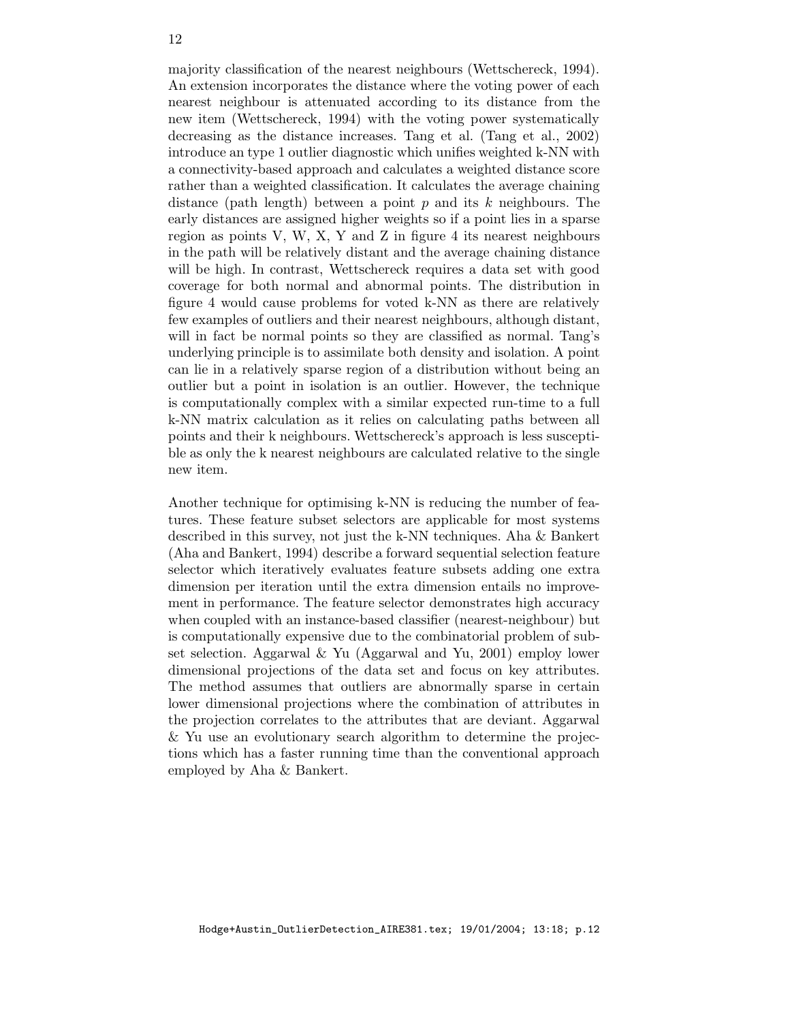majority classification of the nearest neighbours (Wettschereck, 1994). An extension incorporates the distance where the voting power of each nearest neighbour is attenuated according to its distance from the new item (Wettschereck, 1994) with the voting power systematically decreasing as the distance increases. Tang et al. (Tang et al., 2002) introduce an type 1 outlier diagnostic which unifies weighted k-NN with a connectivity-based approach and calculates a weighted distance score rather than a weighted classification. It calculates the average chaining distance (path length) between a point  $p$  and its  $k$  neighbours. The early distances are assigned higher weights so if a point lies in a sparse region as points V, W, X, Y and Z in figure 4 its nearest neighbours in the path will be relatively distant and the average chaining distance will be high. In contrast, Wettschereck requires a data set with good coverage for both normal and abnormal points. The distribution in figure 4 would cause problems for voted k-NN as there are relatively few examples of outliers and their nearest neighbours, although distant, will in fact be normal points so they are classified as normal. Tang's underlying principle is to assimilate both density and isolation. A point can lie in a relatively sparse region of a distribution without being an outlier but a point in isolation is an outlier. However, the technique is computationally complex with a similar expected run-time to a full k-NN matrix calculation as it relies on calculating paths between all points and their k neighbours. Wettschereck's approach is less susceptible as only the k nearest neighbours are calculated relative to the single new item.

Another technique for optimising k-NN is reducing the number of features. These feature subset selectors are applicable for most systems described in this survey, not just the k-NN techniques. Aha & Bankert (Aha and Bankert, 1994) describe a forward sequential selection feature selector which iteratively evaluates feature subsets adding one extra dimension per iteration until the extra dimension entails no improvement in performance. The feature selector demonstrates high accuracy when coupled with an instance-based classifier (nearest-neighbour) but is computationally expensive due to the combinatorial problem of subset selection. Aggarwal & Yu (Aggarwal and Yu, 2001) employ lower dimensional projections of the data set and focus on key attributes. The method assumes that outliers are abnormally sparse in certain lower dimensional projections where the combination of attributes in the projection correlates to the attributes that are deviant. Aggarwal & Yu use an evolutionary search algorithm to determine the projections which has a faster running time than the conventional approach employed by Aha & Bankert.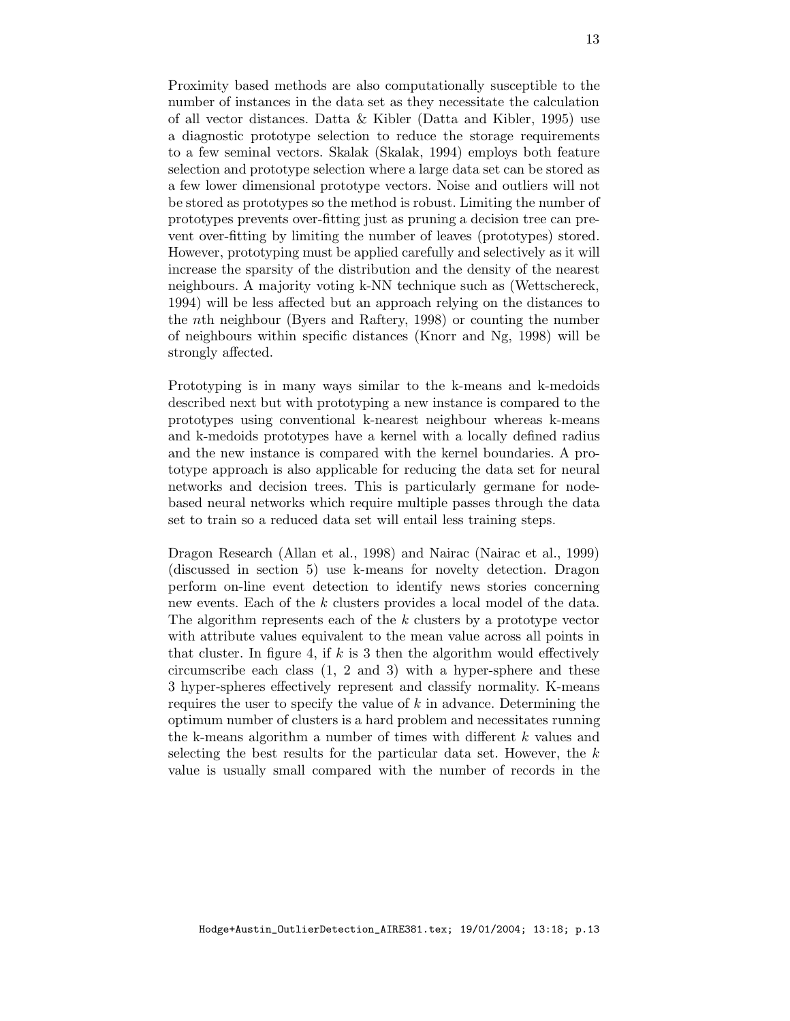Proximity based methods are also computationally susceptible to the number of instances in the data set as they necessitate the calculation of all vector distances. Datta & Kibler (Datta and Kibler, 1995) use a diagnostic prototype selection to reduce the storage requirements to a few seminal vectors. Skalak (Skalak, 1994) employs both feature selection and prototype selection where a large data set can be stored as a few lower dimensional prototype vectors. Noise and outliers will not be stored as prototypes so the method is robust. Limiting the number of prototypes prevents over-fitting just as pruning a decision tree can prevent over-fitting by limiting the number of leaves (prototypes) stored. However, prototyping must be applied carefully and selectively as it will increase the sparsity of the distribution and the density of the nearest neighbours. A majority voting k-NN technique such as (Wettschereck, 1994) will be less affected but an approach relying on the distances to the nth neighbour (Byers and Raftery, 1998) or counting the number of neighbours within specific distances (Knorr and Ng, 1998) will be strongly affected.

Prototyping is in many ways similar to the k-means and k-medoids described next but with prototyping a new instance is compared to the prototypes using conventional k-nearest neighbour whereas k-means and k-medoids prototypes have a kernel with a locally defined radius and the new instance is compared with the kernel boundaries. A prototype approach is also applicable for reducing the data set for neural networks and decision trees. This is particularly germane for nodebased neural networks which require multiple passes through the data set to train so a reduced data set will entail less training steps.

Dragon Research (Allan et al., 1998) and Nairac (Nairac et al., 1999) (discussed in section 5) use k-means for novelty detection. Dragon perform on-line event detection to identify news stories concerning new events. Each of the k clusters provides a local model of the data. The algorithm represents each of the k clusters by a prototype vector with attribute values equivalent to the mean value across all points in that cluster. In figure 4, if  $k$  is 3 then the algorithm would effectively circumscribe each class (1, 2 and 3) with a hyper-sphere and these 3 hyper-spheres effectively represent and classify normality. K-means requires the user to specify the value of  $k$  in advance. Determining the optimum number of clusters is a hard problem and necessitates running the k-means algorithm a number of times with different  $k$  values and selecting the best results for the particular data set. However, the  $k$ value is usually small compared with the number of records in the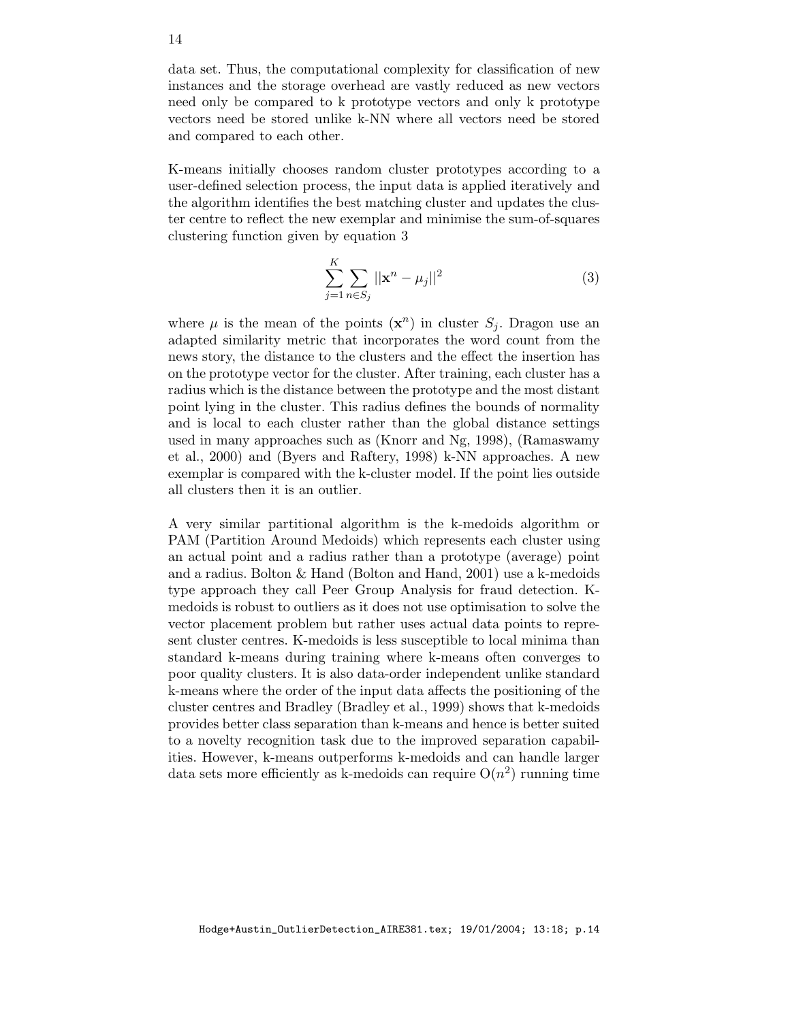data set. Thus, the computational complexity for classification of new instances and the storage overhead are vastly reduced as new vectors need only be compared to k prototype vectors and only k prototype vectors need be stored unlike k-NN where all vectors need be stored and compared to each other.

K-means initially chooses random cluster prototypes according to a user-defined selection process, the input data is applied iteratively and the algorithm identifies the best matching cluster and updates the cluster centre to reflect the new exemplar and minimise the sum-of-squares clustering function given by equation 3

$$
\sum_{j=1}^{K} \sum_{n \in S_j} ||\mathbf{x}^n - \mu_j||^2
$$
 (3)

where  $\mu$  is the mean of the points  $(x^n)$  in cluster  $S_j$ . Dragon use an adapted similarity metric that incorporates the word count from the news story, the distance to the clusters and the effect the insertion has on the prototype vector for the cluster. After training, each cluster has a radius which is the distance between the prototype and the most distant point lying in the cluster. This radius defines the bounds of normality and is local to each cluster rather than the global distance settings used in many approaches such as (Knorr and Ng, 1998), (Ramaswamy et al., 2000) and (Byers and Raftery, 1998) k-NN approaches. A new exemplar is compared with the k-cluster model. If the point lies outside all clusters then it is an outlier.

A very similar partitional algorithm is the k-medoids algorithm or PAM (Partition Around Medoids) which represents each cluster using an actual point and a radius rather than a prototype (average) point and a radius. Bolton & Hand (Bolton and Hand, 2001) use a k-medoids type approach they call Peer Group Analysis for fraud detection. Kmedoids is robust to outliers as it does not use optimisation to solve the vector placement problem but rather uses actual data points to represent cluster centres. K-medoids is less susceptible to local minima than standard k-means during training where k-means often converges to poor quality clusters. It is also data-order independent unlike standard k-means where the order of the input data affects the positioning of the cluster centres and Bradley (Bradley et al., 1999) shows that k-medoids provides better class separation than k-means and hence is better suited to a novelty recognition task due to the improved separation capabilities. However, k-means outperforms k-medoids and can handle larger data sets more efficiently as k-medoids can require  $O(n^2)$  running time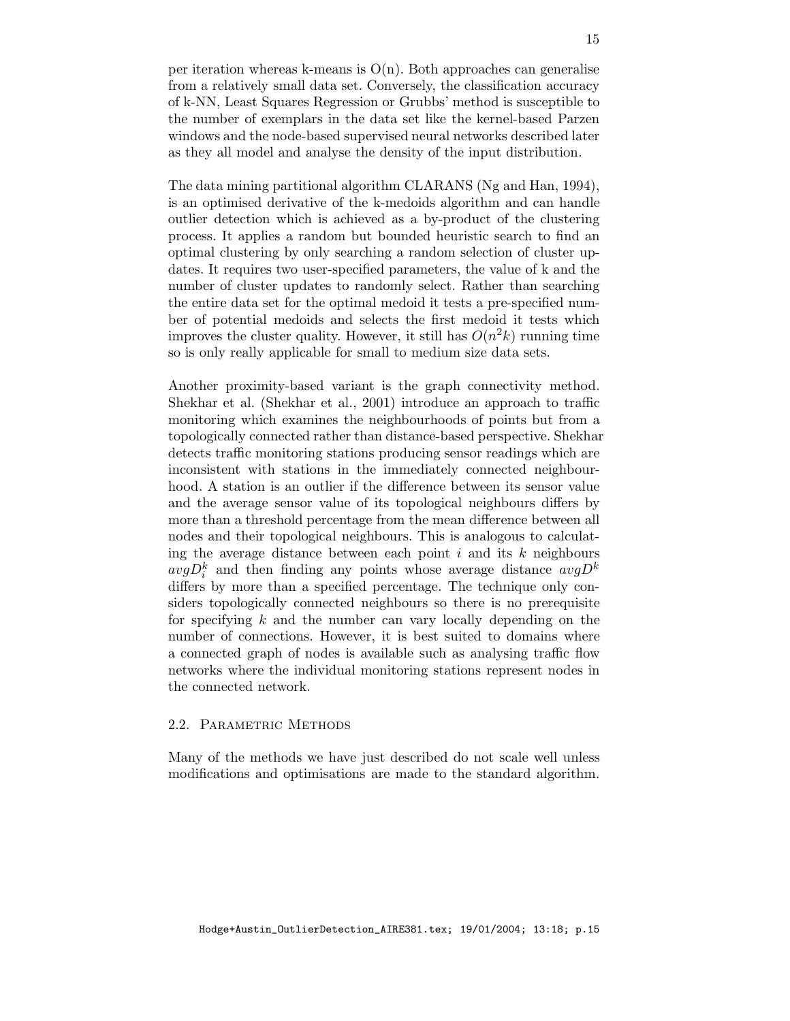per iteration whereas k-means is  $O(n)$ . Both approaches can generalise from a relatively small data set. Conversely, the classification accuracy of k-NN, Least Squares Regression or Grubbs' method is susceptible to the number of exemplars in the data set like the kernel-based Parzen windows and the node-based supervised neural networks described later as they all model and analyse the density of the input distribution.

The data mining partitional algorithm CLARANS (Ng and Han, 1994), is an optimised derivative of the k-medoids algorithm and can handle outlier detection which is achieved as a by-product of the clustering process. It applies a random but bounded heuristic search to find an optimal clustering by only searching a random selection of cluster updates. It requires two user-specified parameters, the value of k and the number of cluster updates to randomly select. Rather than searching the entire data set for the optimal medoid it tests a pre-specified number of potential medoids and selects the first medoid it tests which improves the cluster quality. However, it still has  $O(n^2k)$  running time so is only really applicable for small to medium size data sets.

Another proximity-based variant is the graph connectivity method. Shekhar et al. (Shekhar et al., 2001) introduce an approach to traffic monitoring which examines the neighbourhoods of points but from a topologically connected rather than distance-based perspective. Shekhar detects traffic monitoring stations producing sensor readings which are inconsistent with stations in the immediately connected neighbourhood. A station is an outlier if the difference between its sensor value and the average sensor value of its topological neighbours differs by more than a threshold percentage from the mean difference between all nodes and their topological neighbours. This is analogous to calculating the average distance between each point  $i$  and its  $k$  neighbours  $avgD_i^k$  and then finding any points whose average distance  $avgD^k$ differs by more than a specified percentage. The technique only considers topologically connected neighbours so there is no prerequisite for specifying k and the number can vary locally depending on the number of connections. However, it is best suited to domains where a connected graph of nodes is available such as analysing traffic flow networks where the individual monitoring stations represent nodes in the connected network.

#### 2.2. PARAMETRIC METHODS

Many of the methods we have just described do not scale well unless modifications and optimisations are made to the standard algorithm.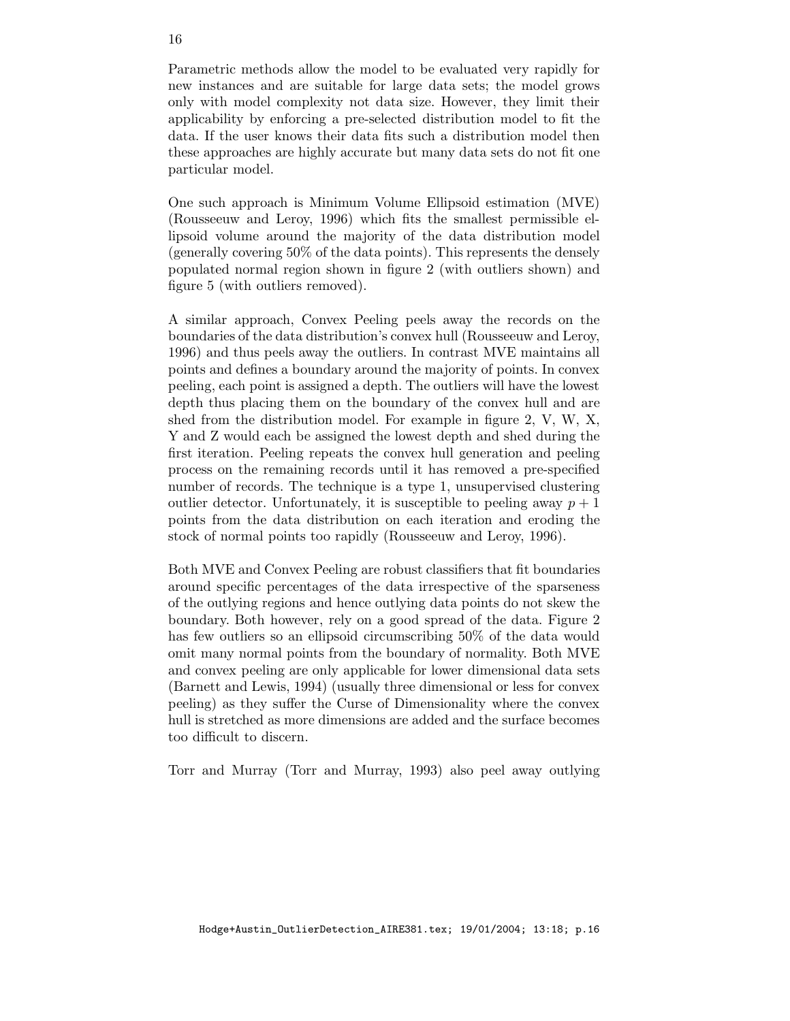Parametric methods allow the model to be evaluated very rapidly for new instances and are suitable for large data sets; the model grows only with model complexity not data size. However, they limit their applicability by enforcing a pre-selected distribution model to fit the data. If the user knows their data fits such a distribution model then these approaches are highly accurate but many data sets do not fit one particular model.

One such approach is Minimum Volume Ellipsoid estimation (MVE) (Rousseeuw and Leroy, 1996) which fits the smallest permissible ellipsoid volume around the majority of the data distribution model (generally covering 50% of the data points). This represents the densely populated normal region shown in figure 2 (with outliers shown) and figure 5 (with outliers removed).

A similar approach, Convex Peeling peels away the records on the boundaries of the data distribution's convex hull (Rousseeuw and Leroy, 1996) and thus peels away the outliers. In contrast MVE maintains all points and defines a boundary around the majority of points. In convex peeling, each point is assigned a depth. The outliers will have the lowest depth thus placing them on the boundary of the convex hull and are shed from the distribution model. For example in figure 2, V, W, X, Y and Z would each be assigned the lowest depth and shed during the first iteration. Peeling repeats the convex hull generation and peeling process on the remaining records until it has removed a pre-specified number of records. The technique is a type 1, unsupervised clustering outlier detector. Unfortunately, it is susceptible to peeling away  $p+1$ points from the data distribution on each iteration and eroding the stock of normal points too rapidly (Rousseeuw and Leroy, 1996).

Both MVE and Convex Peeling are robust classifiers that fit boundaries around specific percentages of the data irrespective of the sparseness of the outlying regions and hence outlying data points do not skew the boundary. Both however, rely on a good spread of the data. Figure 2 has few outliers so an ellipsoid circumscribing 50% of the data would omit many normal points from the boundary of normality. Both MVE and convex peeling are only applicable for lower dimensional data sets (Barnett and Lewis, 1994) (usually three dimensional or less for convex peeling) as they suffer the Curse of Dimensionality where the convex hull is stretched as more dimensions are added and the surface becomes too difficult to discern.

Torr and Murray (Torr and Murray, 1993) also peel away outlying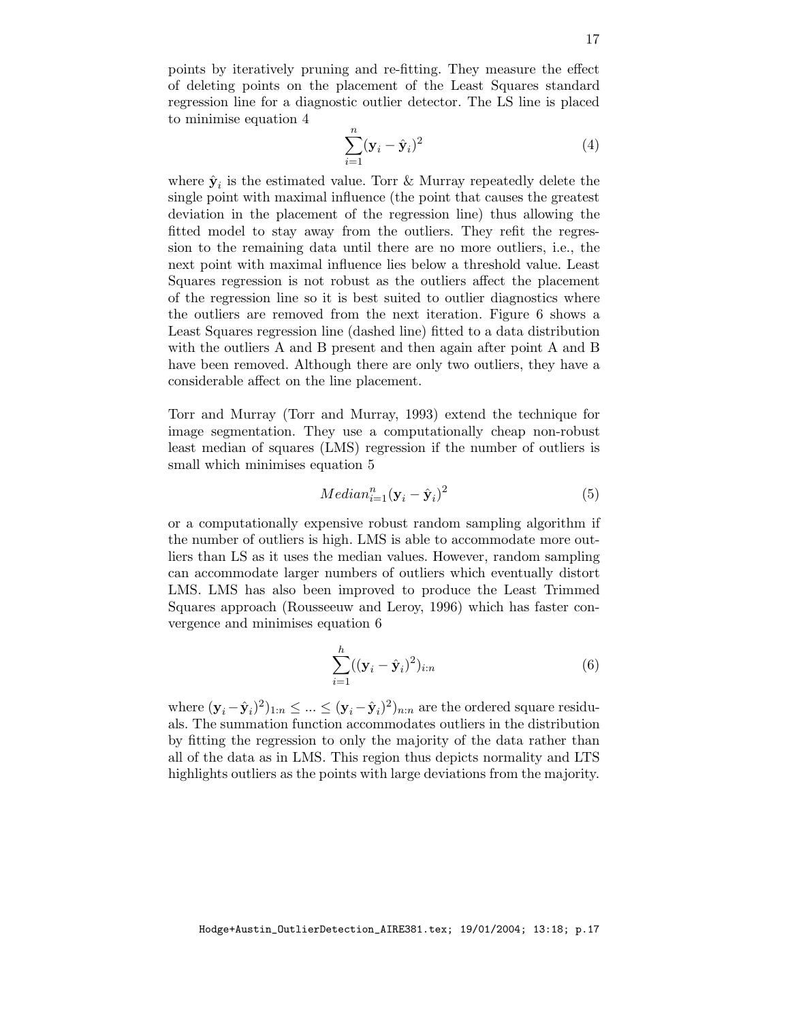points by iteratively pruning and re-fitting. They measure the effect of deleting points on the placement of the Least Squares standard regression line for a diagnostic outlier detector. The LS line is placed to minimise equation 4

$$
\sum_{i=1}^{n} (\mathbf{y}_i - \hat{\mathbf{y}}_i)^2
$$
 (4)

where  $\hat{\mathbf{y}}_i$  is the estimated value. Torr & Murray repeatedly delete the single point with maximal influence (the point that causes the greatest deviation in the placement of the regression line) thus allowing the fitted model to stay away from the outliers. They refit the regression to the remaining data until there are no more outliers, i.e., the next point with maximal influence lies below a threshold value. Least Squares regression is not robust as the outliers affect the placement of the regression line so it is best suited to outlier diagnostics where the outliers are removed from the next iteration. Figure 6 shows a Least Squares regression line (dashed line) fitted to a data distribution with the outliers A and B present and then again after point A and B have been removed. Although there are only two outliers, they have a considerable affect on the line placement.

Torr and Murray (Torr and Murray, 1993) extend the technique for image segmentation. They use a computationally cheap non-robust least median of squares (LMS) regression if the number of outliers is small which minimises equation  $5$ 

$$
Median_{i=1}^n (\mathbf{y}_i - \hat{\mathbf{y}}_i)^2
$$
\n(5)

or a computationally expensive robust random sampling algorithm if the number of outliers is high. LMS is able to accommodate more outliers than LS as it uses the median values. However, random sampling can accommodate larger numbers of outliers which eventually distort LMS. LMS has also been improved to produce the Least Trimmed Squares approach (Rousseeuw and Leroy, 1996) which has faster convergence and minimises equation 6

$$
\sum_{i=1}^{h} ((\mathbf{y}_i - \hat{\mathbf{y}}_i)^2)_{i:n}
$$
 (6)

where  $(\mathbf{y}_i - \hat{\mathbf{y}}_i)^2)_{1:n} \leq ... \leq (\mathbf{y}_i - \hat{\mathbf{y}}_i)^2)_{n:n}$  are the ordered square residuals. The summation function accommodates outliers in the distribution by fitting the regression to only the majority of the data rather than all of the data as in LMS. This region thus depicts normality and LTS highlights outliers as the points with large deviations from the majority.

Hodge+Austin\_OutlierDetection\_AIRE381.tex; 19/01/2004; 13:18; p.17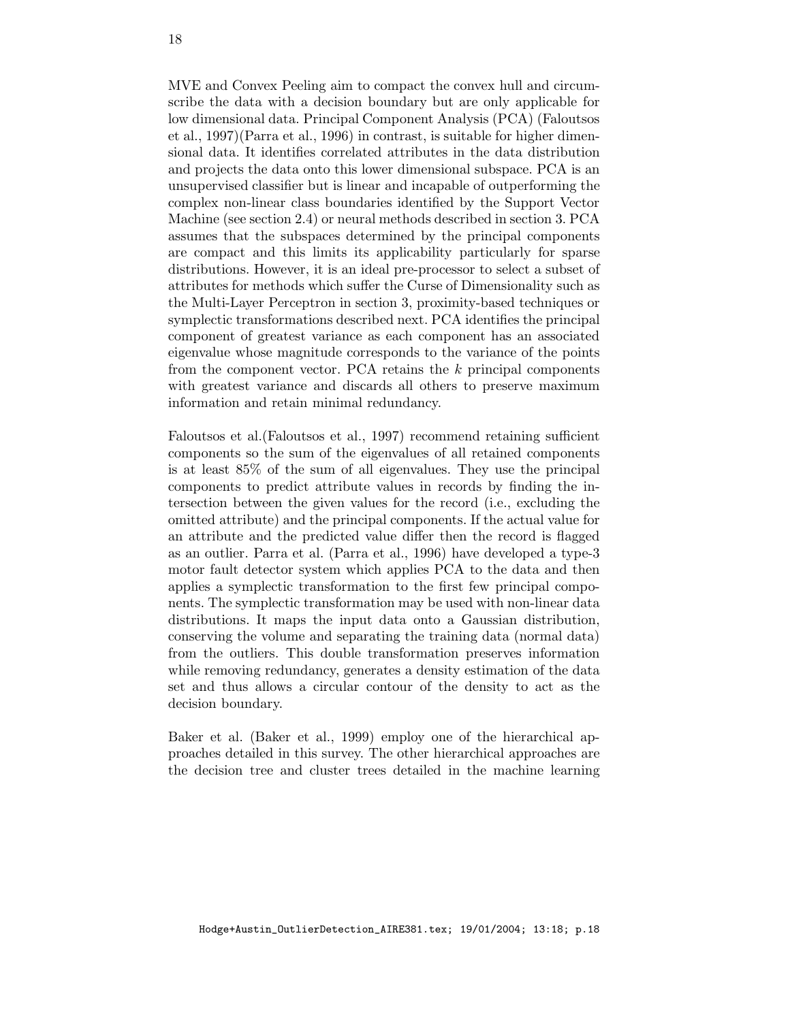MVE and Convex Peeling aim to compact the convex hull and circumscribe the data with a decision boundary but are only applicable for low dimensional data. Principal Component Analysis (PCA) (Faloutsos et al., 1997)(Parra et al., 1996) in contrast, is suitable for higher dimensional data. It identifies correlated attributes in the data distribution and projects the data onto this lower dimensional subspace. PCA is an unsupervised classifier but is linear and incapable of outperforming the complex non-linear class boundaries identified by the Support Vector Machine (see section 2.4) or neural methods described in section 3. PCA assumes that the subspaces determined by the principal components are compact and this limits its applicability particularly for sparse distributions. However, it is an ideal pre-processor to select a subset of attributes for methods which suffer the Curse of Dimensionality such as the Multi-Layer Perceptron in section 3, proximity-based techniques or symplectic transformations described next. PCA identifies the principal component of greatest variance as each component has an associated eigenvalue whose magnitude corresponds to the variance of the points from the component vector. PCA retains the  $k$  principal components with greatest variance and discards all others to preserve maximum information and retain minimal redundancy.

Faloutsos et al.(Faloutsos et al., 1997) recommend retaining sufficient components so the sum of the eigenvalues of all retained components is at least 85% of the sum of all eigenvalues. They use the principal components to predict attribute values in records by finding the intersection between the given values for the record (i.e., excluding the omitted attribute) and the principal components. If the actual value for an attribute and the predicted value differ then the record is flagged as an outlier. Parra et al. (Parra et al., 1996) have developed a type-3 motor fault detector system which applies PCA to the data and then applies a symplectic transformation to the first few principal components. The symplectic transformation may be used with non-linear data distributions. It maps the input data onto a Gaussian distribution, conserving the volume and separating the training data (normal data) from the outliers. This double transformation preserves information while removing redundancy, generates a density estimation of the data set and thus allows a circular contour of the density to act as the decision boundary.

Baker et al. (Baker et al., 1999) employ one of the hierarchical approaches detailed in this survey. The other hierarchical approaches are the decision tree and cluster trees detailed in the machine learning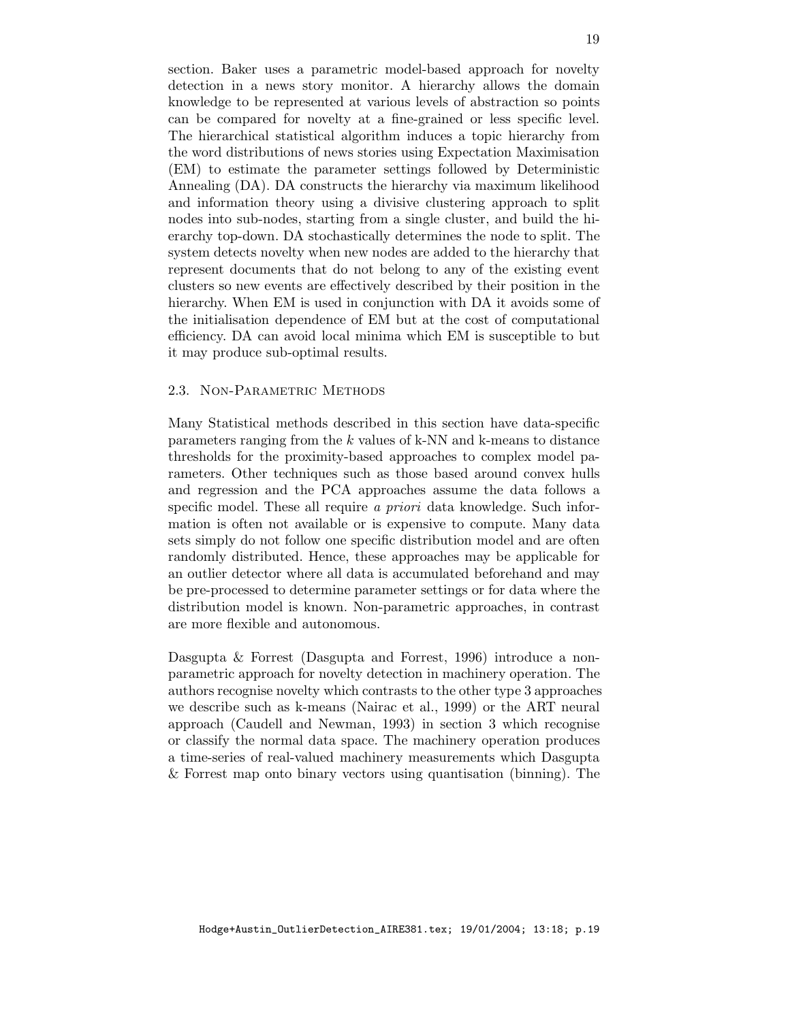section. Baker uses a parametric model-based approach for novelty detection in a news story monitor. A hierarchy allows the domain knowledge to be represented at various levels of abstraction so points can be compared for novelty at a fine-grained or less specific level. The hierarchical statistical algorithm induces a topic hierarchy from the word distributions of news stories using Expectation Maximisation (EM) to estimate the parameter settings followed by Deterministic Annealing (DA). DA constructs the hierarchy via maximum likelihood and information theory using a divisive clustering approach to split nodes into sub-nodes, starting from a single cluster, and build the hierarchy top-down. DA stochastically determines the node to split. The system detects novelty when new nodes are added to the hierarchy that represent documents that do not belong to any of the existing event clusters so new events are effectively described by their position in the hierarchy. When EM is used in conjunction with DA it avoids some of the initialisation dependence of EM but at the cost of computational efficiency. DA can avoid local minima which EM is susceptible to but it may produce sub-optimal results.

#### 2.3. Non-Parametric Methods

Many Statistical methods described in this section have data-specific parameters ranging from the  $k$  values of k-NN and k-means to distance thresholds for the proximity-based approaches to complex model parameters. Other techniques such as those based around convex hulls and regression and the PCA approaches assume the data follows a specific model. These all require a priori data knowledge. Such information is often not available or is expensive to compute. Many data sets simply do not follow one specific distribution model and are often randomly distributed. Hence, these approaches may be applicable for an outlier detector where all data is accumulated beforehand and may be pre-processed to determine parameter settings or for data where the distribution model is known. Non-parametric approaches, in contrast are more flexible and autonomous.

Dasgupta & Forrest (Dasgupta and Forrest, 1996) introduce a nonparametric approach for novelty detection in machinery operation. The authors recognise novelty which contrasts to the other type 3 approaches we describe such as k-means (Nairac et al., 1999) or the ART neural approach (Caudell and Newman, 1993) in section 3 which recognise or classify the normal data space. The machinery operation produces a time-series of real-valued machinery measurements which Dasgupta & Forrest map onto binary vectors using quantisation (binning). The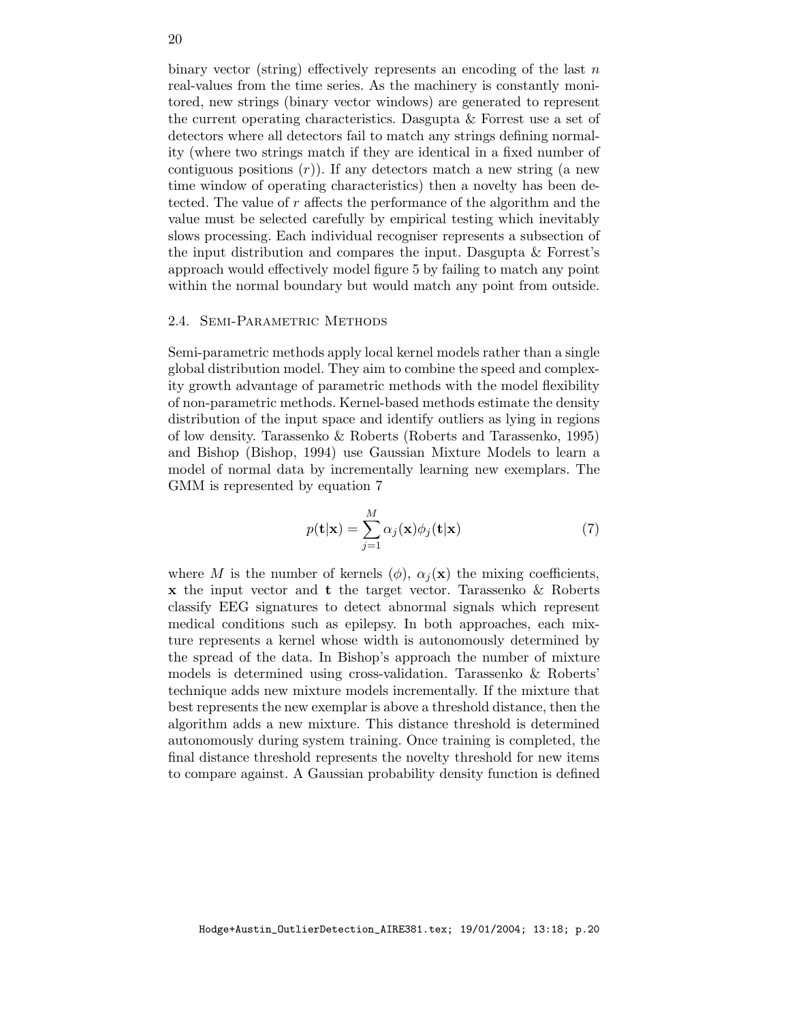binary vector (string) effectively represents an encoding of the last  $n$ real-values from the time series. As the machinery is constantly monitored, new strings (binary vector windows) are generated to represent the current operating characteristics. Dasgupta & Forrest use a set of detectors where all detectors fail to match any strings defining normality (where two strings match if they are identical in a fixed number of contiguous positions  $(r)$ ). If any detectors match a new string (a new time window of operating characteristics) then a novelty has been detected. The value of r affects the performance of the algorithm and the value must be selected carefully by empirical testing which inevitably slows processing. Each individual recogniser represents a subsection of the input distribution and compares the input. Dasgupta & Forrest's approach would effectively model figure 5 by failing to match any point within the normal boundary but would match any point from outside.

#### 2.4. SEMI-PARAMETRIC METHODS

Semi-parametric methods apply local kernel models rather than a single global distribution model. They aim to combine the speed and complexity growth advantage of parametric methods with the model flexibility of non-parametric methods. Kernel-based methods estimate the density distribution of the input space and identify outliers as lying in regions of low density. Tarassenko & Roberts (Roberts and Tarassenko, 1995) and Bishop (Bishop, 1994) use Gaussian Mixture Models to learn a model of normal data by incrementally learning new exemplars. The GMM is represented by equation 7

$$
p(\mathbf{t}|\mathbf{x}) = \sum_{j=1}^{M} \alpha_j(\mathbf{x}) \phi_j(\mathbf{t}|\mathbf{x})
$$
\n(7)

where M is the number of kernels  $(\phi)$ ,  $\alpha_i(\mathbf{x})$  the mixing coefficients, x the input vector and t the target vector. Tarassenko & Roberts classify EEG signatures to detect abnormal signals which represent medical conditions such as epilepsy. In both approaches, each mixture represents a kernel whose width is autonomously determined by the spread of the data. In Bishop's approach the number of mixture models is determined using cross-validation. Tarassenko & Roberts' technique adds new mixture models incrementally. If the mixture that best represents the new exemplar is above a threshold distance, then the algorithm adds a new mixture. This distance threshold is determined autonomously during system training. Once training is completed, the final distance threshold represents the novelty threshold for new items to compare against. A Gaussian probability density function is defined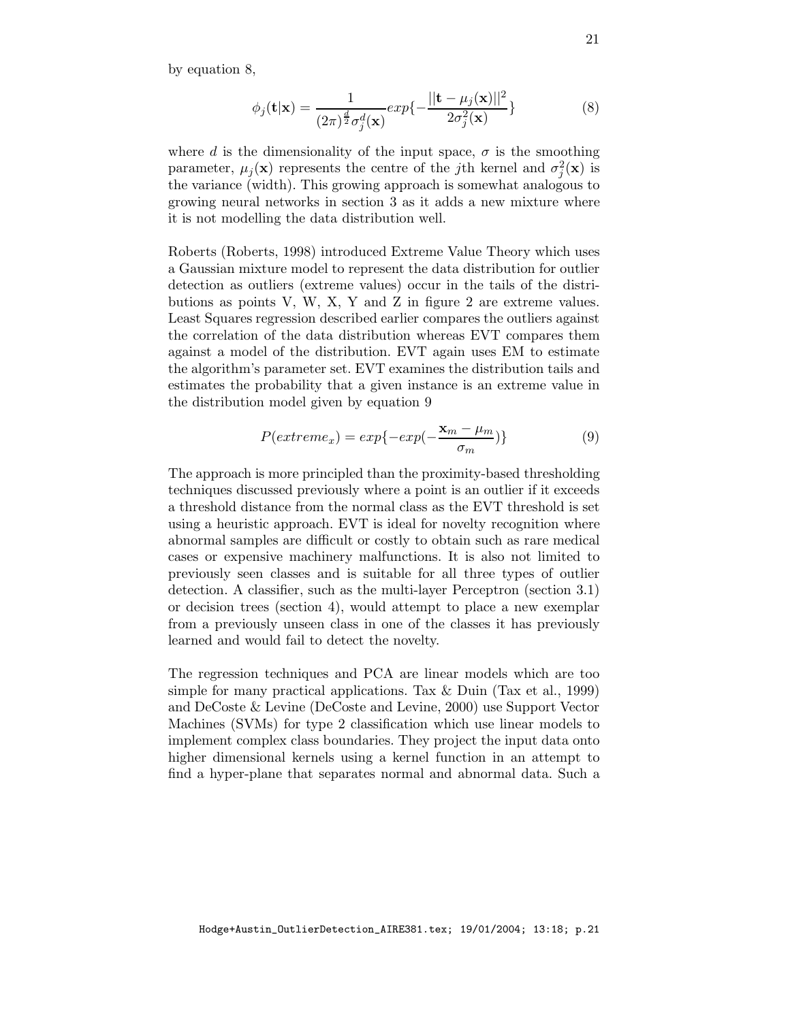by equation 8,

$$
\phi_j(\mathbf{t}|\mathbf{x}) = \frac{1}{(2\pi)^{\frac{d}{2}} \sigma_j^d(\mathbf{x})} exp\{-\frac{||\mathbf{t} - \mu_j(\mathbf{x})||^2}{2\sigma_j^2(\mathbf{x})}\}\tag{8}
$$

where d is the dimensionality of the input space,  $\sigma$  is the smoothing parameter,  $\mu_j(\mathbf{x})$  represents the centre of the jth kernel and  $\sigma_j^2$  $j^2(\mathbf{x})$  is the variance (width). This growing approach is somewhat analogous to growing neural networks in section 3 as it adds a new mixture where it is not modelling the data distribution well.

Roberts (Roberts, 1998) introduced Extreme Value Theory which uses a Gaussian mixture model to represent the data distribution for outlier detection as outliers (extreme values) occur in the tails of the distributions as points V, W, X, Y and Z in figure 2 are extreme values. Least Squares regression described earlier compares the outliers against the correlation of the data distribution whereas EVT compares them against a model of the distribution. EVT again uses EM to estimate the algorithm's parameter set. EVT examines the distribution tails and estimates the probability that a given instance is an extreme value in the distribution model given by equation 9

$$
P(extreme_x) = exp\{-exp(-\frac{\mathbf{x}_m - \mu_m}{\sigma_m})\}\tag{9}
$$

The approach is more principled than the proximity-based thresholding techniques discussed previously where a point is an outlier if it exceeds a threshold distance from the normal class as the EVT threshold is set using a heuristic approach. EVT is ideal for novelty recognition where abnormal samples are difficult or costly to obtain such as rare medical cases or expensive machinery malfunctions. It is also not limited to previously seen classes and is suitable for all three types of outlier detection. A classifier, such as the multi-layer Perceptron (section 3.1) or decision trees (section 4), would attempt to place a new exemplar from a previously unseen class in one of the classes it has previously learned and would fail to detect the novelty.

The regression techniques and PCA are linear models which are too simple for many practical applications. Tax & Duin (Tax et al., 1999) and DeCoste & Levine (DeCoste and Levine, 2000) use Support Vector Machines (SVMs) for type 2 classification which use linear models to implement complex class boundaries. They project the input data onto higher dimensional kernels using a kernel function in an attempt to find a hyper-plane that separates normal and abnormal data. Such a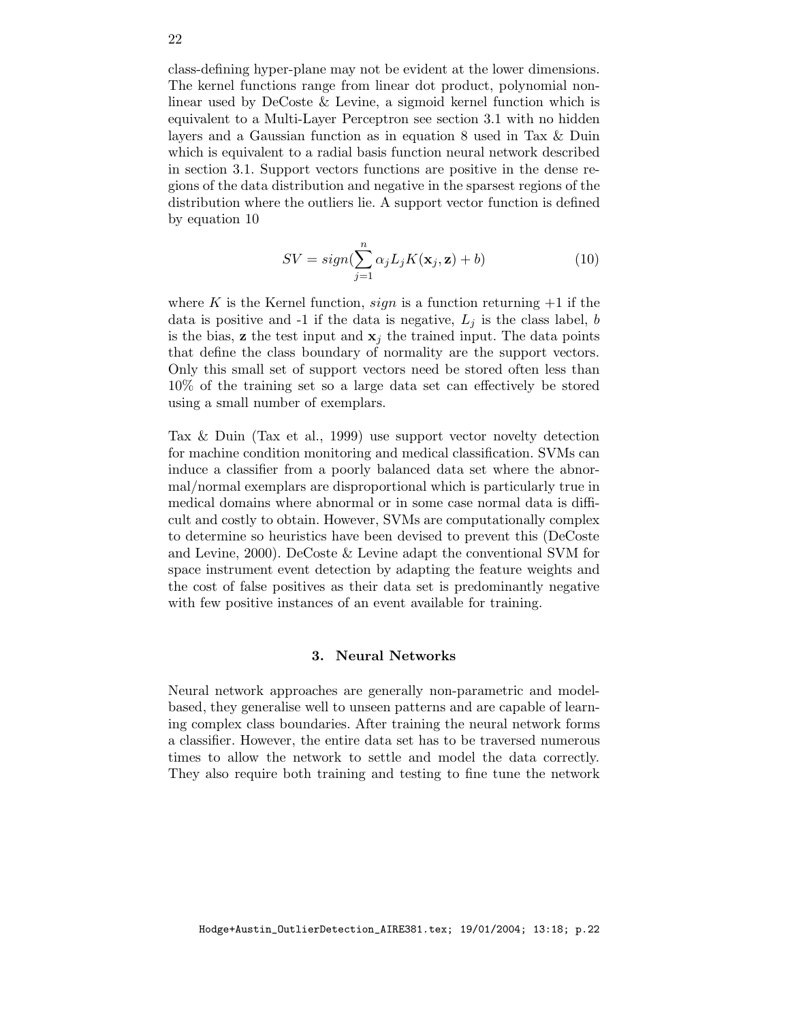class-defining hyper-plane may not be evident at the lower dimensions. The kernel functions range from linear dot product, polynomial nonlinear used by DeCoste & Levine, a sigmoid kernel function which is equivalent to a Multi-Layer Perceptron see section 3.1 with no hidden layers and a Gaussian function as in equation 8 used in Tax & Duin which is equivalent to a radial basis function neural network described in section 3.1. Support vectors functions are positive in the dense regions of the data distribution and negative in the sparsest regions of the distribution where the outliers lie. A support vector function is defined by equation 10

$$
SV = sign(\sum_{j=1}^{n} \alpha_j L_j K(\mathbf{x}_j, \mathbf{z}) + b)
$$
\n(10)

where K is the Kernel function,  $sign$  is a function returning  $+1$  if the data is positive and  $-1$  if the data is negative,  $L_i$  is the class label, b is the bias, **z** the test input and  $x_i$  the trained input. The data points that define the class boundary of normality are the support vectors. Only this small set of support vectors need be stored often less than 10% of the training set so a large data set can effectively be stored using a small number of exemplars.

Tax & Duin (Tax et al., 1999) use support vector novelty detection for machine condition monitoring and medical classification. SVMs can induce a classifier from a poorly balanced data set where the abnormal/normal exemplars are disproportional which is particularly true in medical domains where abnormal or in some case normal data is difficult and costly to obtain. However, SVMs are computationally complex to determine so heuristics have been devised to prevent this (DeCoste and Levine, 2000). DeCoste & Levine adapt the conventional SVM for space instrument event detection by adapting the feature weights and the cost of false positives as their data set is predominantly negative with few positive instances of an event available for training.

#### 3. Neural Networks

Neural network approaches are generally non-parametric and modelbased, they generalise well to unseen patterns and are capable of learning complex class boundaries. After training the neural network forms a classifier. However, the entire data set has to be traversed numerous times to allow the network to settle and model the data correctly. They also require both training and testing to fine tune the network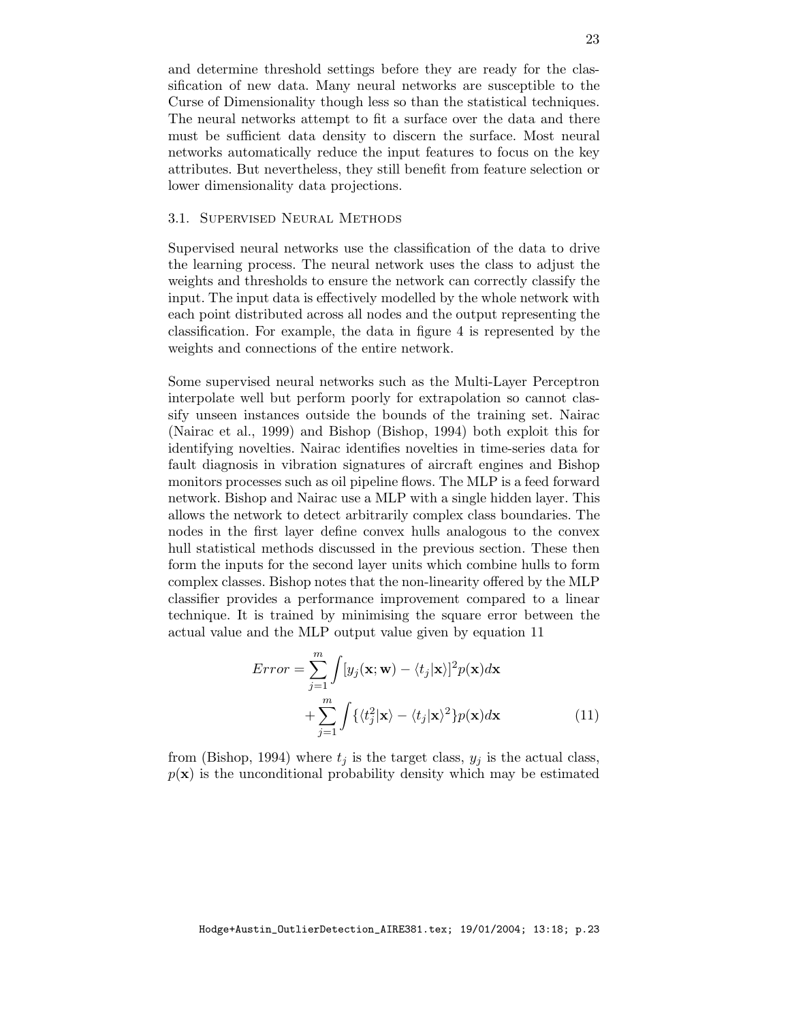and determine threshold settings before they are ready for the classification of new data. Many neural networks are susceptible to the Curse of Dimensionality though less so than the statistical techniques. The neural networks attempt to fit a surface over the data and there must be sufficient data density to discern the surface. Most neural networks automatically reduce the input features to focus on the key attributes. But nevertheless, they still benefit from feature selection or lower dimensionality data projections.

# 3.1. Supervised Neural Methods

Supervised neural networks use the classification of the data to drive the learning process. The neural network uses the class to adjust the weights and thresholds to ensure the network can correctly classify the input. The input data is effectively modelled by the whole network with each point distributed across all nodes and the output representing the classification. For example, the data in figure 4 is represented by the weights and connections of the entire network.

Some supervised neural networks such as the Multi-Layer Perceptron interpolate well but perform poorly for extrapolation so cannot classify unseen instances outside the bounds of the training set. Nairac (Nairac et al., 1999) and Bishop (Bishop, 1994) both exploit this for identifying novelties. Nairac identifies novelties in time-series data for fault diagnosis in vibration signatures of aircraft engines and Bishop monitors processes such as oil pipeline flows. The MLP is a feed forward network. Bishop and Nairac use a MLP with a single hidden layer. This allows the network to detect arbitrarily complex class boundaries. The nodes in the first layer define convex hulls analogous to the convex hull statistical methods discussed in the previous section. These then form the inputs for the second layer units which combine hulls to form complex classes. Bishop notes that the non-linearity offered by the MLP classifier provides a performance improvement compared to a linear technique. It is trained by minimising the square error between the actual value and the MLP output value given by equation 11

$$
Error = \sum_{j=1}^{m} \int [y_j(\mathbf{x}; \mathbf{w}) - \langle t_j | \mathbf{x} \rangle]^2 p(\mathbf{x}) d\mathbf{x}
$$

$$
+ \sum_{j=1}^{m} \int {\langle t_j^2 | \mathbf{x} \rangle - \langle t_j | \mathbf{x} \rangle^2} p(\mathbf{x}) d\mathbf{x}
$$
(11)

from (Bishop, 1994) where  $t_j$  is the target class,  $y_j$  is the actual class,  $p(x)$  is the unconditional probability density which may be estimated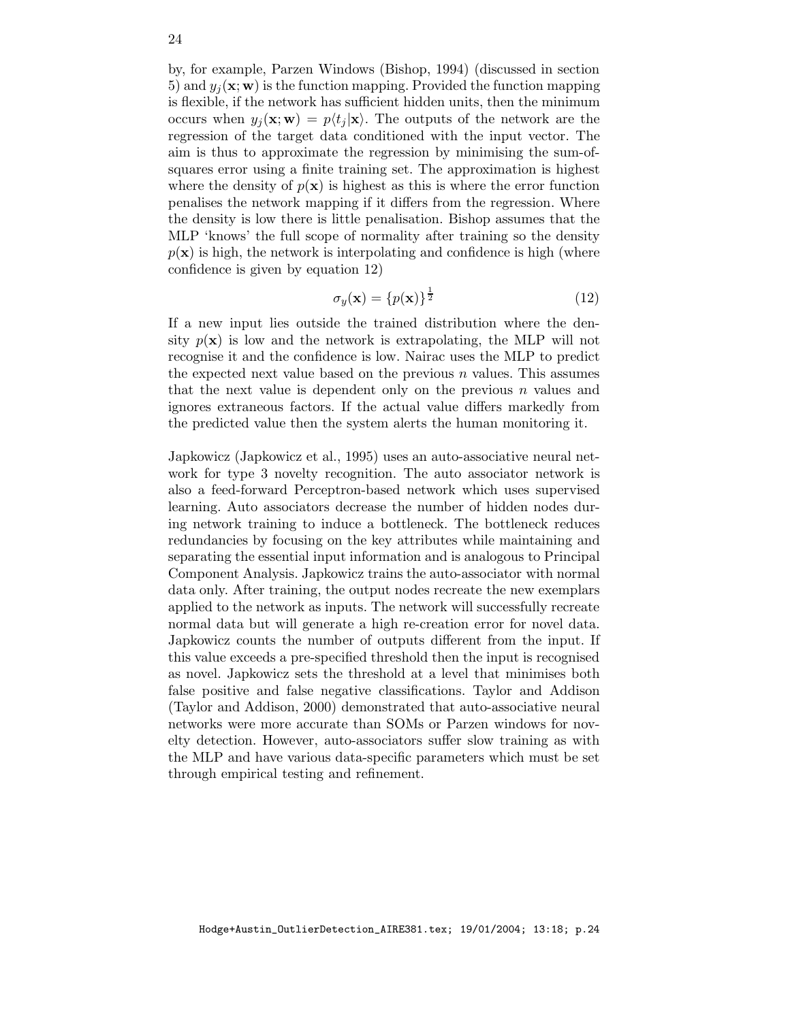by, for example, Parzen Windows (Bishop, 1994) (discussed in section 5) and  $y_i(\mathbf{x}; \mathbf{w})$  is the function mapping. Provided the function mapping is flexible, if the network has sufficient hidden units, then the minimum occurs when  $y_j(\mathbf{x}; \mathbf{w}) = p(t_j | \mathbf{x})$ . The outputs of the network are the regression of the target data conditioned with the input vector. The aim is thus to approximate the regression by minimising the sum-ofsquares error using a finite training set. The approximation is highest where the density of  $p(x)$  is highest as this is where the error function penalises the network mapping if it differs from the regression. Where the density is low there is little penalisation. Bishop assumes that the MLP 'knows' the full scope of normality after training so the density  $p(x)$  is high, the network is interpolating and confidence is high (where confidence is given by equation 12)

$$
\sigma_y(\mathbf{x}) = \{p(\mathbf{x})\}^{\frac{1}{2}} \tag{12}
$$

If a new input lies outside the trained distribution where the density  $p(x)$  is low and the network is extrapolating, the MLP will not recognise it and the confidence is low. Nairac uses the MLP to predict the expected next value based on the previous  $n$  values. This assumes that the next value is dependent only on the previous  $n$  values and ignores extraneous factors. If the actual value differs markedly from the predicted value then the system alerts the human monitoring it.

Japkowicz (Japkowicz et al., 1995) uses an auto-associative neural network for type 3 novelty recognition. The auto associator network is also a feed-forward Perceptron-based network which uses supervised learning. Auto associators decrease the number of hidden nodes during network training to induce a bottleneck. The bottleneck reduces redundancies by focusing on the key attributes while maintaining and separating the essential input information and is analogous to Principal Component Analysis. Japkowicz trains the auto-associator with normal data only. After training, the output nodes recreate the new exemplars applied to the network as inputs. The network will successfully recreate normal data but will generate a high re-creation error for novel data. Japkowicz counts the number of outputs different from the input. If this value exceeds a pre-specified threshold then the input is recognised as novel. Japkowicz sets the threshold at a level that minimises both false positive and false negative classifications. Taylor and Addison (Taylor and Addison, 2000) demonstrated that auto-associative neural networks were more accurate than SOMs or Parzen windows for novelty detection. However, auto-associators suffer slow training as with the MLP and have various data-specific parameters which must be set through empirical testing and refinement.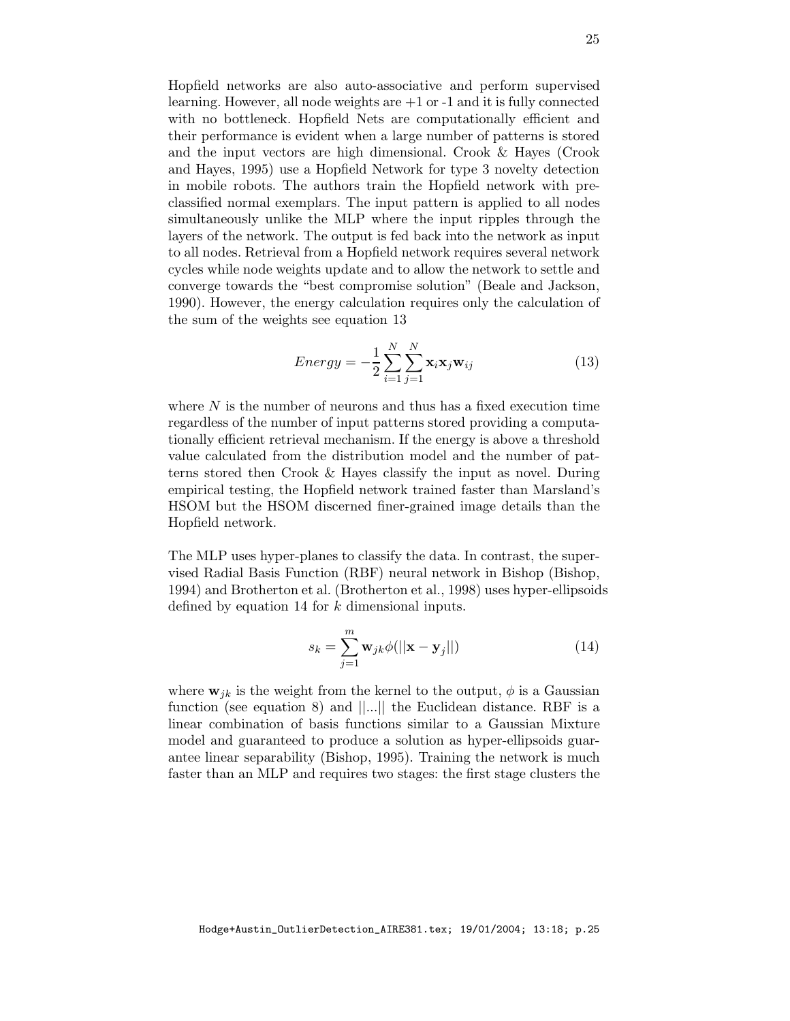Hopfield networks are also auto-associative and perform supervised learning. However, all node weights are  $+1$  or  $-1$  and it is fully connected with no bottleneck. Hopfield Nets are computationally efficient and their performance is evident when a large number of patterns is stored and the input vectors are high dimensional. Crook & Hayes (Crook and Hayes, 1995) use a Hopfield Network for type 3 novelty detection in mobile robots. The authors train the Hopfield network with preclassified normal exemplars. The input pattern is applied to all nodes simultaneously unlike the MLP where the input ripples through the layers of the network. The output is fed back into the network as input to all nodes. Retrieval from a Hopfield network requires several network cycles while node weights update and to allow the network to settle and converge towards the "best compromise solution" (Beale and Jackson, 1990). However, the energy calculation requires only the calculation of the sum of the weights see equation 13

$$
Energy = -\frac{1}{2} \sum_{i=1}^{N} \sum_{j=1}^{N} \mathbf{x}_i \mathbf{x}_j \mathbf{w}_{ij}
$$
(13)

where  $N$  is the number of neurons and thus has a fixed execution time regardless of the number of input patterns stored providing a computationally efficient retrieval mechanism. If the energy is above a threshold value calculated from the distribution model and the number of patterns stored then Crook & Hayes classify the input as novel. During empirical testing, the Hopfield network trained faster than Marsland's HSOM but the HSOM discerned finer-grained image details than the Hopfield network.

The MLP uses hyper-planes to classify the data. In contrast, the supervised Radial Basis Function (RBF) neural network in Bishop (Bishop, 1994) and Brotherton et al. (Brotherton et al., 1998) uses hyper-ellipsoids defined by equation 14 for k dimensional inputs.

$$
s_k = \sum_{j=1}^{m} \mathbf{w}_{jk} \phi(||\mathbf{x} - \mathbf{y}_j||)
$$
 (14)

where  $w_{jk}$  is the weight from the kernel to the output,  $\phi$  is a Gaussian function (see equation 8) and  $\|\ldots\|$  the Euclidean distance. RBF is a linear combination of basis functions similar to a Gaussian Mixture model and guaranteed to produce a solution as hyper-ellipsoids guarantee linear separability (Bishop, 1995). Training the network is much faster than an MLP and requires two stages: the first stage clusters the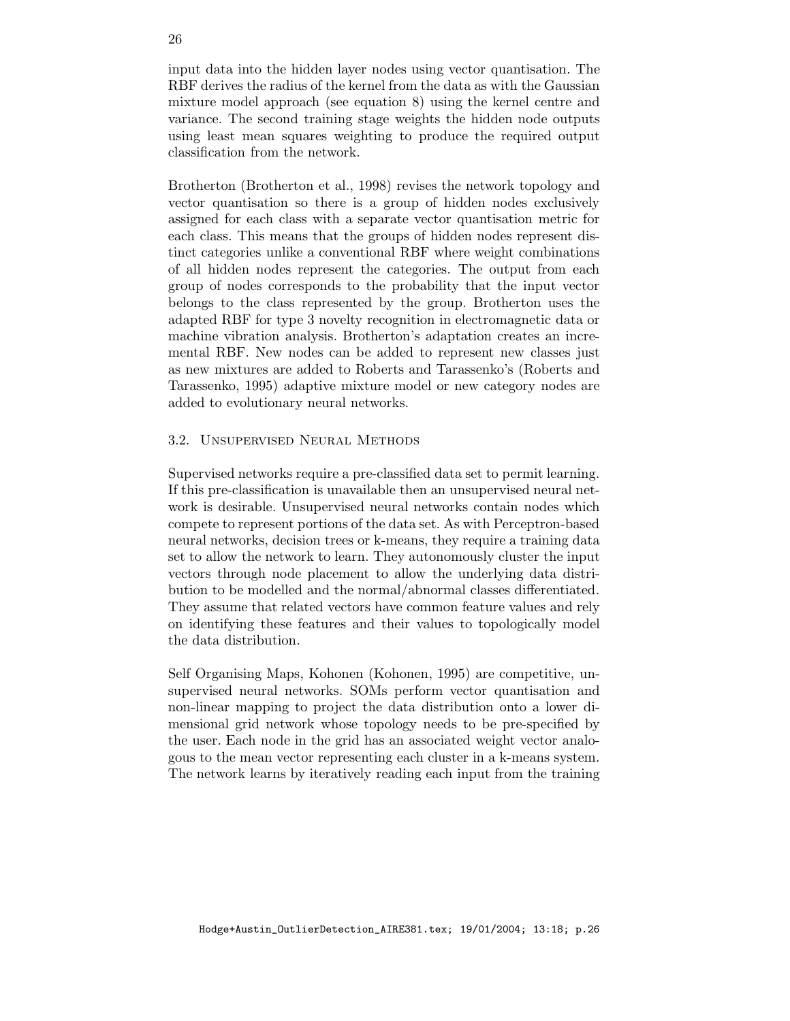input data into the hidden layer nodes using vector quantisation. The RBF derives the radius of the kernel from the data as with the Gaussian mixture model approach (see equation 8) using the kernel centre and variance. The second training stage weights the hidden node outputs using least mean squares weighting to produce the required output classification from the network.

Brotherton (Brotherton et al., 1998) revises the network topology and vector quantisation so there is a group of hidden nodes exclusively assigned for each class with a separate vector quantisation metric for each class. This means that the groups of hidden nodes represent distinct categories unlike a conventional RBF where weight combinations of all hidden nodes represent the categories. The output from each group of nodes corresponds to the probability that the input vector belongs to the class represented by the group. Brotherton uses the adapted RBF for type 3 novelty recognition in electromagnetic data or machine vibration analysis. Brotherton's adaptation creates an incremental RBF. New nodes can be added to represent new classes just as new mixtures are added to Roberts and Tarassenko's (Roberts and Tarassenko, 1995) adaptive mixture model or new category nodes are added to evolutionary neural networks.

# 3.2. Unsupervised Neural Methods

Supervised networks require a pre-classified data set to permit learning. If this pre-classification is unavailable then an unsupervised neural network is desirable. Unsupervised neural networks contain nodes which compete to represent portions of the data set. As with Perceptron-based neural networks, decision trees or k-means, they require a training data set to allow the network to learn. They autonomously cluster the input vectors through node placement to allow the underlying data distribution to be modelled and the normal/abnormal classes differentiated. They assume that related vectors have common feature values and rely on identifying these features and their values to topologically model the data distribution.

Self Organising Maps, Kohonen (Kohonen, 1995) are competitive, unsupervised neural networks. SOMs perform vector quantisation and non-linear mapping to project the data distribution onto a lower dimensional grid network whose topology needs to be pre-specified by the user. Each node in the grid has an associated weight vector analogous to the mean vector representing each cluster in a k-means system. The network learns by iteratively reading each input from the training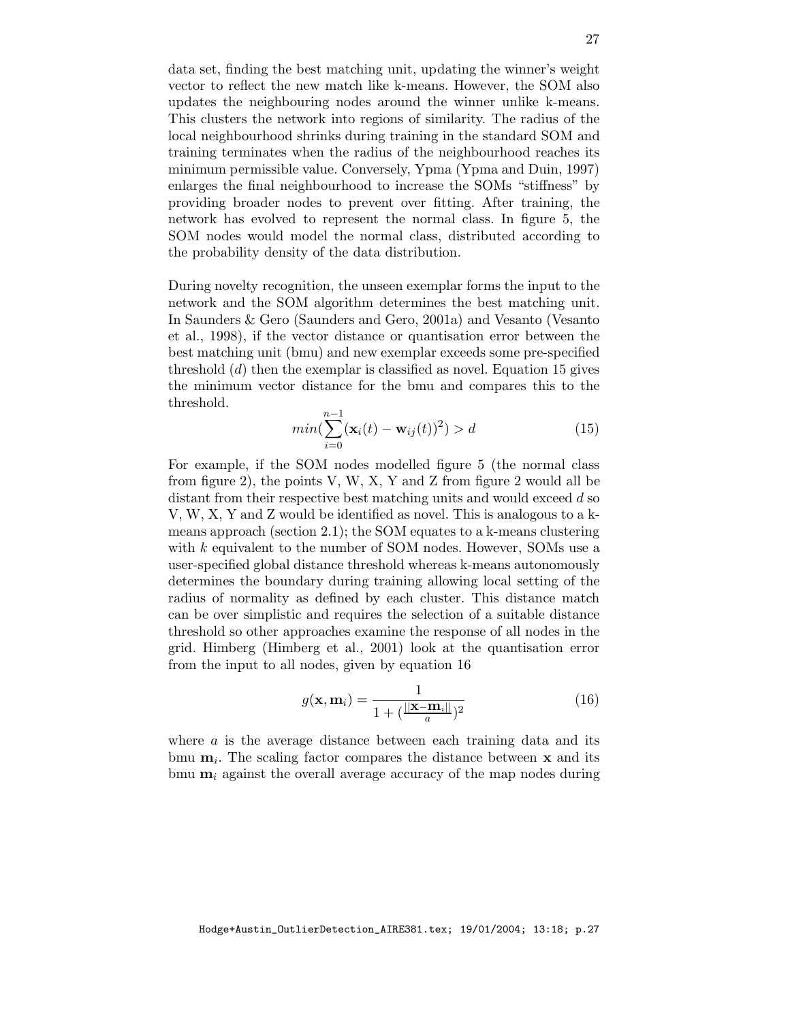data set, finding the best matching unit, updating the winner's weight vector to reflect the new match like k-means. However, the SOM also updates the neighbouring nodes around the winner unlike k-means. This clusters the network into regions of similarity. The radius of the local neighbourhood shrinks during training in the standard SOM and training terminates when the radius of the neighbourhood reaches its minimum permissible value. Conversely, Ypma (Ypma and Duin, 1997) enlarges the final neighbourhood to increase the SOMs "stiffness" by providing broader nodes to prevent over fitting. After training, the network has evolved to represent the normal class. In figure 5, the SOM nodes would model the normal class, distributed according to the probability density of the data distribution.

During novelty recognition, the unseen exemplar forms the input to the network and the SOM algorithm determines the best matching unit. In Saunders & Gero (Saunders and Gero, 2001a) and Vesanto (Vesanto et al., 1998), if the vector distance or quantisation error between the best matching unit (bmu) and new exemplar exceeds some pre-specified threshold  $(d)$  then the exemplar is classified as novel. Equation 15 gives the minimum vector distance for the bmu and compares this to the threshold.

$$
min(\sum_{i=0}^{n-1} (\mathbf{x}_i(t) - \mathbf{w}_{ij}(t))^2) > d
$$
\n(15)

For example, if the SOM nodes modelled figure 5 (the normal class from figure 2), the points V, W, X, Y and Z from figure 2 would all be distant from their respective best matching units and would exceed d so V, W, X, Y and Z would be identified as novel. This is analogous to a kmeans approach (section 2.1); the SOM equates to a k-means clustering with k equivalent to the number of SOM nodes. However, SOMs use a user-specified global distance threshold whereas k-means autonomously determines the boundary during training allowing local setting of the radius of normality as defined by each cluster. This distance match can be over simplistic and requires the selection of a suitable distance threshold so other approaches examine the response of all nodes in the grid. Himberg (Himberg et al., 2001) look at the quantisation error from the input to all nodes, given by equation 16

$$
g(\mathbf{x}, \mathbf{m}_i) = \frac{1}{1 + (\frac{||\mathbf{x} - \mathbf{m}_i||}{a})^2}
$$
(16)

where  $\alpha$  is the average distance between each training data and its bmu  $\mathbf{m}_i$ . The scaling factor compares the distance between **x** and its bmu  $m_i$  against the overall average accuracy of the map nodes during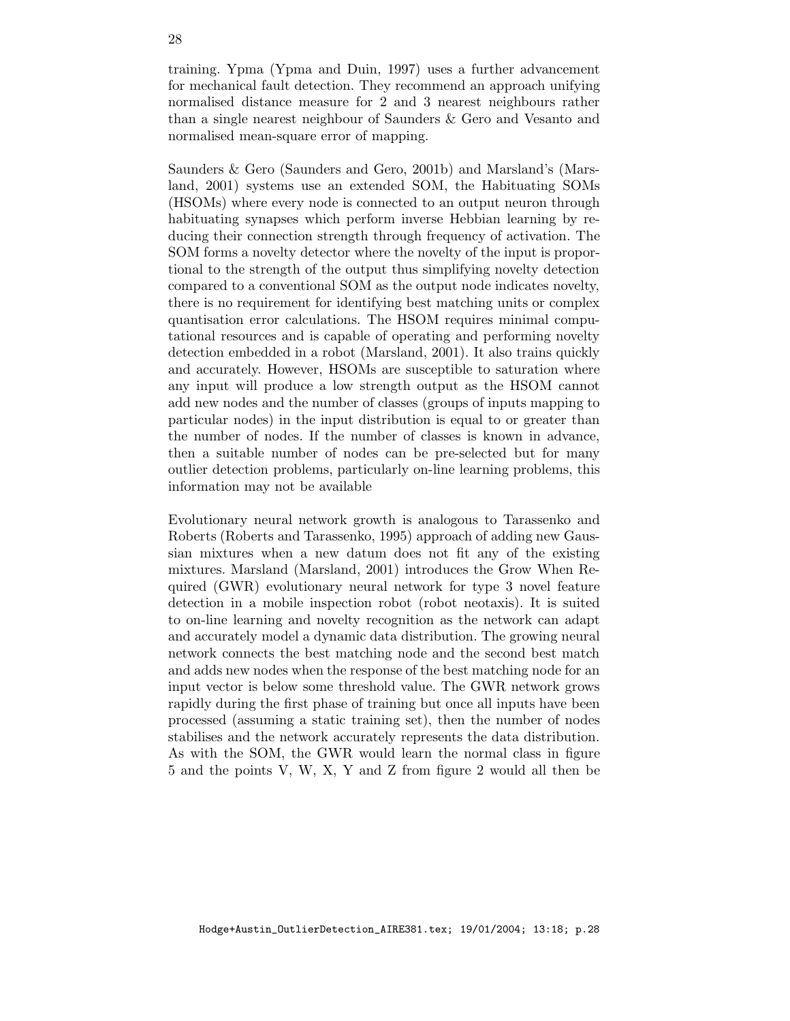training. Ypma (Ypma and Duin, 1997) uses a further advancement for mechanical fault detection. They recommend an approach unifying normalised distance measure for 2 and 3 nearest neighbours rather than a single nearest neighbour of Saunders & Gero and Vesanto and normalised mean-square error of mapping.

Saunders & Gero (Saunders and Gero, 2001b) and Marsland's (Marsland, 2001) systems use an extended SOM, the Habituating SOMs (HSOMs) where every node is connected to an output neuron through habituating synapses which perform inverse Hebbian learning by reducing their connection strength through frequency of activation. The SOM forms a novelty detector where the novelty of the input is proportional to the strength of the output thus simplifying novelty detection compared to a conventional SOM as the output node indicates novelty, there is no requirement for identifying best matching units or complex quantisation error calculations. The HSOM requires minimal computational resources and is capable of operating and performing novelty detection embedded in a robot (Marsland, 2001). It also trains quickly and accurately. However, HSOMs are susceptible to saturation where any input will produce a low strength output as the HSOM cannot add new nodes and the number of classes (groups of inputs mapping to particular nodes) in the input distribution is equal to or greater than the number of nodes. If the number of classes is known in advance, then a suitable number of nodes can be pre-selected but for many outlier detection problems, particularly on-line learning problems, this information may not be available

Evolutionary neural network growth is analogous to Tarassenko and Roberts (Roberts and Tarassenko, 1995) approach of adding new Gaussian mixtures when a new datum does not fit any of the existing mixtures. Marsland (Marsland, 2001) introduces the Grow When Required (GWR) evolutionary neural network for type 3 novel feature detection in a mobile inspection robot (robot neotaxis). It is suited to on-line learning and novelty recognition as the network can adapt and accurately model a dynamic data distribution. The growing neural network connects the best matching node and the second best match and adds new nodes when the response of the best matching node for an input vector is below some threshold value. The GWR network grows rapidly during the first phase of training but once all inputs have been processed (assuming a static training set), then the number of nodes stabilises and the network accurately represents the data distribution. As with the SOM, the GWR would learn the normal class in figure 5 and the points V, W, X, Y and Z from figure 2 would all then be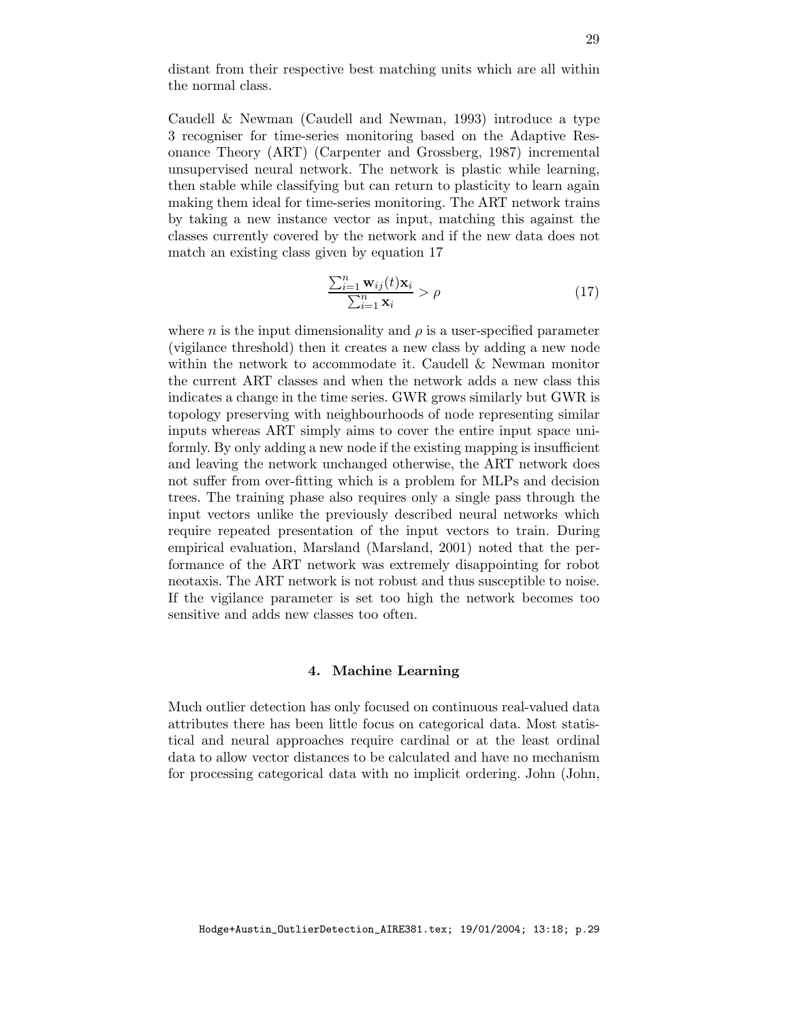distant from their respective best matching units which are all within the normal class.

Caudell & Newman (Caudell and Newman, 1993) introduce a type 3 recogniser for time-series monitoring based on the Adaptive Resonance Theory (ART) (Carpenter and Grossberg, 1987) incremental unsupervised neural network. The network is plastic while learning, then stable while classifying but can return to plasticity to learn again making them ideal for time-series monitoring. The ART network trains by taking a new instance vector as input, matching this against the classes currently covered by the network and if the new data does not match an existing class given by equation 17

$$
\frac{\sum_{i=1}^{n} \mathbf{w}_{ij}(t)\mathbf{x}_i}{\sum_{i=1}^{n} \mathbf{x}_i} > \rho
$$
\n(17)

where *n* is the input dimensionality and  $\rho$  is a user-specified parameter (vigilance threshold) then it creates a new class by adding a new node within the network to accommodate it. Caudell & Newman monitor the current ART classes and when the network adds a new class this indicates a change in the time series. GWR grows similarly but GWR is topology preserving with neighbourhoods of node representing similar inputs whereas ART simply aims to cover the entire input space uniformly. By only adding a new node if the existing mapping is insufficient and leaving the network unchanged otherwise, the ART network does not suffer from over-fitting which is a problem for MLPs and decision trees. The training phase also requires only a single pass through the input vectors unlike the previously described neural networks which require repeated presentation of the input vectors to train. During empirical evaluation, Marsland (Marsland, 2001) noted that the performance of the ART network was extremely disappointing for robot neotaxis. The ART network is not robust and thus susceptible to noise. If the vigilance parameter is set too high the network becomes too sensitive and adds new classes too often.

#### 4. Machine Learning

Much outlier detection has only focused on continuous real-valued data attributes there has been little focus on categorical data. Most statistical and neural approaches require cardinal or at the least ordinal data to allow vector distances to be calculated and have no mechanism for processing categorical data with no implicit ordering. John (John,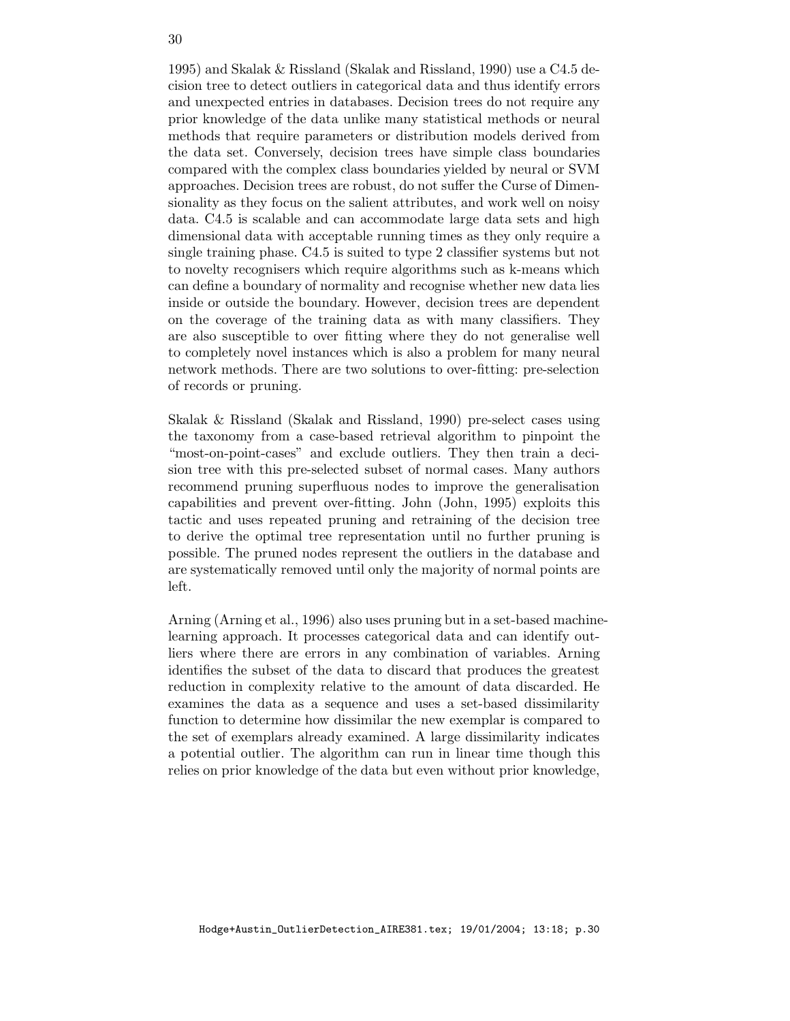1995) and Skalak & Rissland (Skalak and Rissland, 1990) use a C4.5 decision tree to detect outliers in categorical data and thus identify errors and unexpected entries in databases. Decision trees do not require any prior knowledge of the data unlike many statistical methods or neural methods that require parameters or distribution models derived from the data set. Conversely, decision trees have simple class boundaries compared with the complex class boundaries yielded by neural or SVM approaches. Decision trees are robust, do not suffer the Curse of Dimensionality as they focus on the salient attributes, and work well on noisy data. C4.5 is scalable and can accommodate large data sets and high dimensional data with acceptable running times as they only require a single training phase. C4.5 is suited to type 2 classifier systems but not to novelty recognisers which require algorithms such as k-means which can define a boundary of normality and recognise whether new data lies inside or outside the boundary. However, decision trees are dependent on the coverage of the training data as with many classifiers. They are also susceptible to over fitting where they do not generalise well to completely novel instances which is also a problem for many neural network methods. There are two solutions to over-fitting: pre-selection of records or pruning.

Skalak & Rissland (Skalak and Rissland, 1990) pre-select cases using the taxonomy from a case-based retrieval algorithm to pinpoint the "most-on-point-cases" and exclude outliers. They then train a decision tree with this pre-selected subset of normal cases. Many authors recommend pruning superfluous nodes to improve the generalisation capabilities and prevent over-fitting. John (John, 1995) exploits this tactic and uses repeated pruning and retraining of the decision tree to derive the optimal tree representation until no further pruning is possible. The pruned nodes represent the outliers in the database and are systematically removed until only the majority of normal points are left.

Arning (Arning et al., 1996) also uses pruning but in a set-based machinelearning approach. It processes categorical data and can identify outliers where there are errors in any combination of variables. Arning identifies the subset of the data to discard that produces the greatest reduction in complexity relative to the amount of data discarded. He examines the data as a sequence and uses a set-based dissimilarity function to determine how dissimilar the new exemplar is compared to the set of exemplars already examined. A large dissimilarity indicates a potential outlier. The algorithm can run in linear time though this relies on prior knowledge of the data but even without prior knowledge,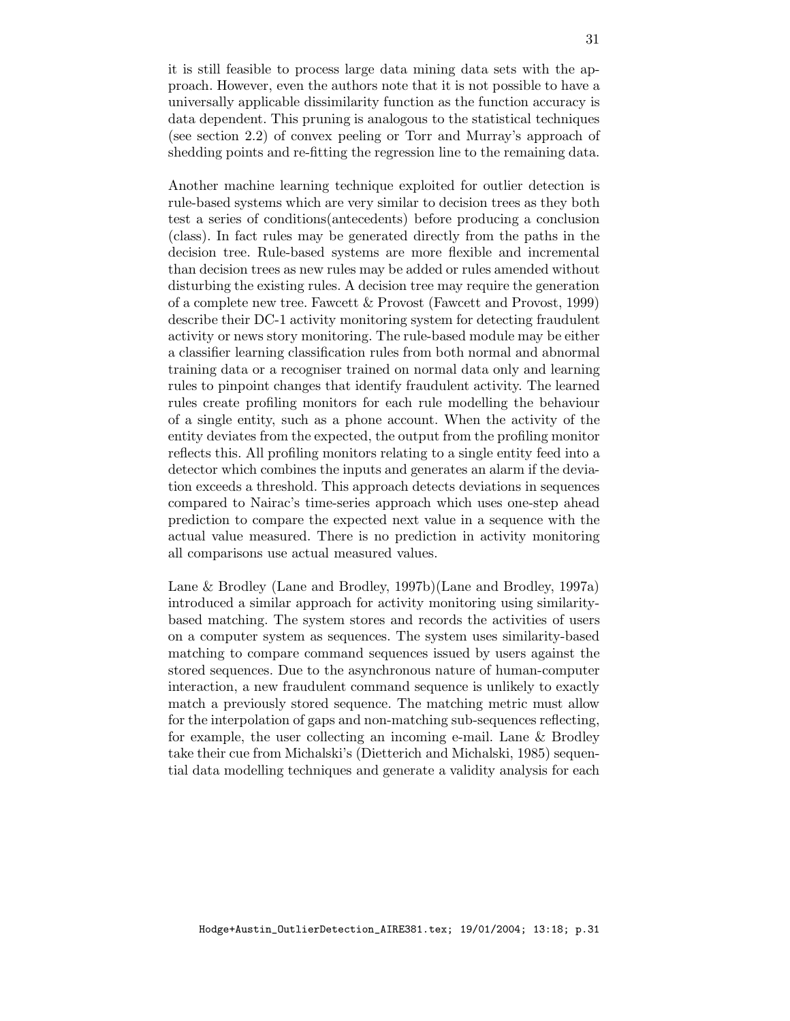it is still feasible to process large data mining data sets with the approach. However, even the authors note that it is not possible to have a universally applicable dissimilarity function as the function accuracy is data dependent. This pruning is analogous to the statistical techniques (see section 2.2) of convex peeling or Torr and Murray's approach of shedding points and re-fitting the regression line to the remaining data.

Another machine learning technique exploited for outlier detection is rule-based systems which are very similar to decision trees as they both test a series of conditions(antecedents) before producing a conclusion (class). In fact rules may be generated directly from the paths in the decision tree. Rule-based systems are more flexible and incremental than decision trees as new rules may be added or rules amended without disturbing the existing rules. A decision tree may require the generation of a complete new tree. Fawcett & Provost (Fawcett and Provost, 1999) describe their DC-1 activity monitoring system for detecting fraudulent activity or news story monitoring. The rule-based module may be either a classifier learning classification rules from both normal and abnormal training data or a recogniser trained on normal data only and learning rules to pinpoint changes that identify fraudulent activity. The learned rules create profiling monitors for each rule modelling the behaviour of a single entity, such as a phone account. When the activity of the entity deviates from the expected, the output from the profiling monitor reflects this. All profiling monitors relating to a single entity feed into a detector which combines the inputs and generates an alarm if the deviation exceeds a threshold. This approach detects deviations in sequences compared to Nairac's time-series approach which uses one-step ahead prediction to compare the expected next value in a sequence with the actual value measured. There is no prediction in activity monitoring all comparisons use actual measured values.

Lane & Brodley (Lane and Brodley, 1997b)(Lane and Brodley, 1997a) introduced a similar approach for activity monitoring using similaritybased matching. The system stores and records the activities of users on a computer system as sequences. The system uses similarity-based matching to compare command sequences issued by users against the stored sequences. Due to the asynchronous nature of human-computer interaction, a new fraudulent command sequence is unlikely to exactly match a previously stored sequence. The matching metric must allow for the interpolation of gaps and non-matching sub-sequences reflecting, for example, the user collecting an incoming e-mail. Lane & Brodley take their cue from Michalski's (Dietterich and Michalski, 1985) sequential data modelling techniques and generate a validity analysis for each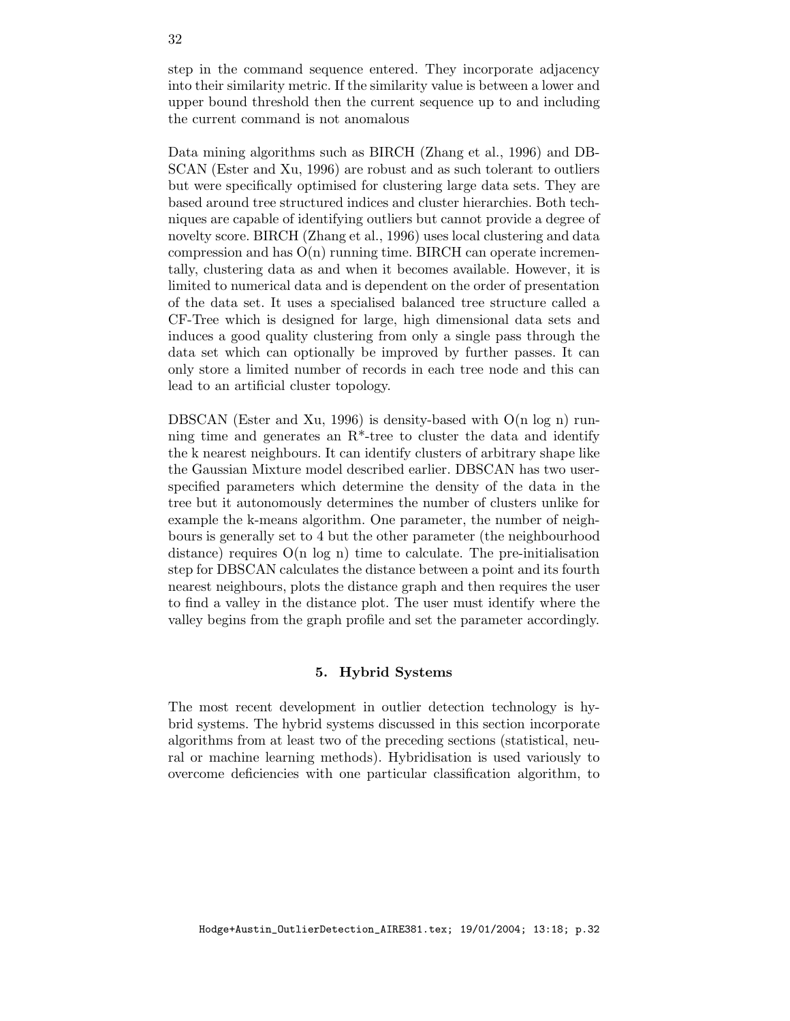step in the command sequence entered. They incorporate adjacency into their similarity metric. If the similarity value is between a lower and upper bound threshold then the current sequence up to and including the current command is not anomalous

Data mining algorithms such as BIRCH (Zhang et al., 1996) and DB-SCAN (Ester and Xu, 1996) are robust and as such tolerant to outliers but were specifically optimised for clustering large data sets. They are based around tree structured indices and cluster hierarchies. Both techniques are capable of identifying outliers but cannot provide a degree of novelty score. BIRCH (Zhang et al., 1996) uses local clustering and data compression and has  $O(n)$  running time. BIRCH can operate incrementally, clustering data as and when it becomes available. However, it is limited to numerical data and is dependent on the order of presentation of the data set. It uses a specialised balanced tree structure called a CF-Tree which is designed for large, high dimensional data sets and induces a good quality clustering from only a single pass through the data set which can optionally be improved by further passes. It can only store a limited number of records in each tree node and this can lead to an artificial cluster topology.

DBSCAN (Ester and Xu, 1996) is density-based with O(n log n) running time and generates an  $R^*$ -tree to cluster the data and identify the k nearest neighbours. It can identify clusters of arbitrary shape like the Gaussian Mixture model described earlier. DBSCAN has two userspecified parameters which determine the density of the data in the tree but it autonomously determines the number of clusters unlike for example the k-means algorithm. One parameter, the number of neighbours is generally set to 4 but the other parameter (the neighbourhood distance) requires O(n log n) time to calculate. The pre-initialisation step for DBSCAN calculates the distance between a point and its fourth nearest neighbours, plots the distance graph and then requires the user to find a valley in the distance plot. The user must identify where the valley begins from the graph profile and set the parameter accordingly.

# 5. Hybrid Systems

The most recent development in outlier detection technology is hybrid systems. The hybrid systems discussed in this section incorporate algorithms from at least two of the preceding sections (statistical, neural or machine learning methods). Hybridisation is used variously to overcome deficiencies with one particular classification algorithm, to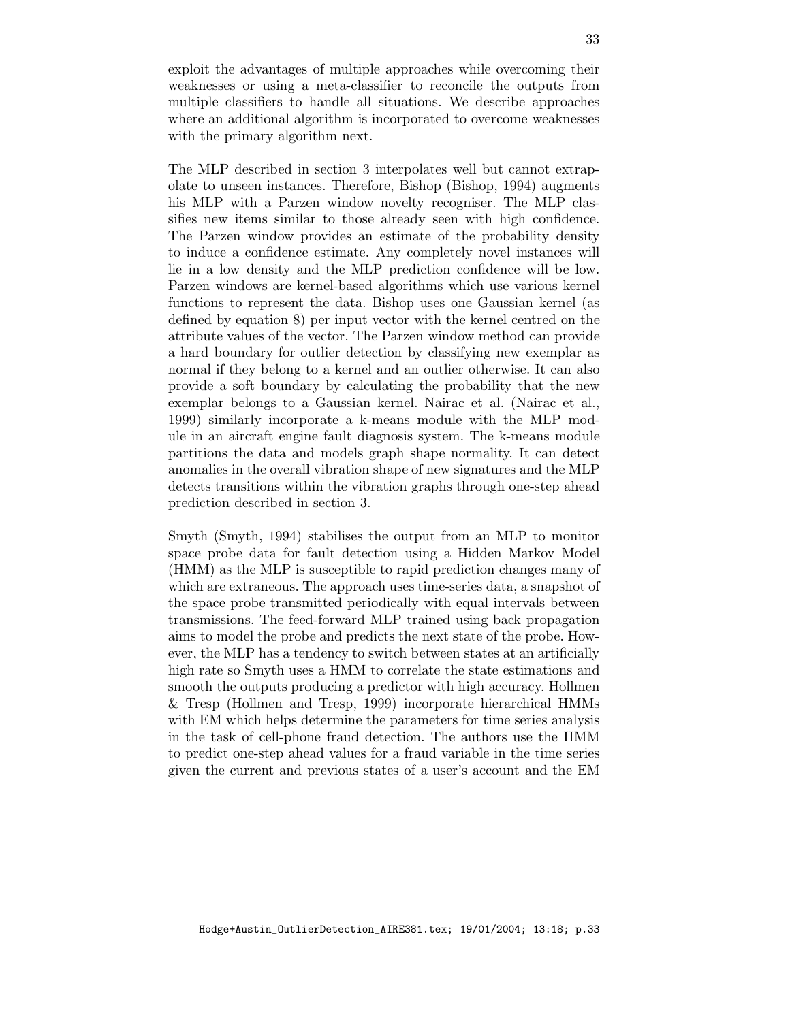exploit the advantages of multiple approaches while overcoming their weaknesses or using a meta-classifier to reconcile the outputs from multiple classifiers to handle all situations. We describe approaches where an additional algorithm is incorporated to overcome weaknesses with the primary algorithm next.

The MLP described in section 3 interpolates well but cannot extrapolate to unseen instances. Therefore, Bishop (Bishop, 1994) augments his MLP with a Parzen window novelty recogniser. The MLP classifies new items similar to those already seen with high confidence. The Parzen window provides an estimate of the probability density to induce a confidence estimate. Any completely novel instances will lie in a low density and the MLP prediction confidence will be low. Parzen windows are kernel-based algorithms which use various kernel functions to represent the data. Bishop uses one Gaussian kernel (as defined by equation 8) per input vector with the kernel centred on the attribute values of the vector. The Parzen window method can provide a hard boundary for outlier detection by classifying new exemplar as normal if they belong to a kernel and an outlier otherwise. It can also provide a soft boundary by calculating the probability that the new exemplar belongs to a Gaussian kernel. Nairac et al. (Nairac et al., 1999) similarly incorporate a k-means module with the MLP module in an aircraft engine fault diagnosis system. The k-means module partitions the data and models graph shape normality. It can detect anomalies in the overall vibration shape of new signatures and the MLP detects transitions within the vibration graphs through one-step ahead prediction described in section 3.

Smyth (Smyth, 1994) stabilises the output from an MLP to monitor space probe data for fault detection using a Hidden Markov Model (HMM) as the MLP is susceptible to rapid prediction changes many of which are extraneous. The approach uses time-series data, a snapshot of the space probe transmitted periodically with equal intervals between transmissions. The feed-forward MLP trained using back propagation aims to model the probe and predicts the next state of the probe. However, the MLP has a tendency to switch between states at an artificially high rate so Smyth uses a HMM to correlate the state estimations and smooth the outputs producing a predictor with high accuracy. Hollmen & Tresp (Hollmen and Tresp, 1999) incorporate hierarchical HMMs with EM which helps determine the parameters for time series analysis in the task of cell-phone fraud detection. The authors use the HMM to predict one-step ahead values for a fraud variable in the time series given the current and previous states of a user's account and the EM

33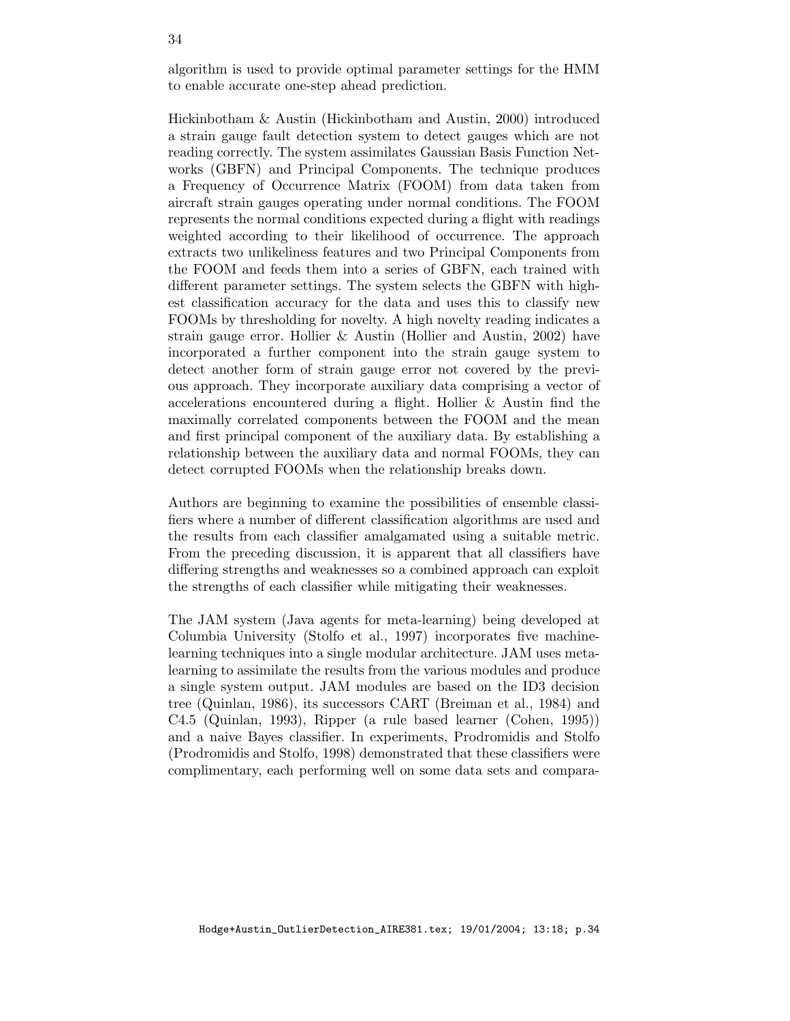algorithm is used to provide optimal parameter settings for the HMM to enable accurate one-step ahead prediction.

Hickinbotham & Austin (Hickinbotham and Austin, 2000) introduced a strain gauge fault detection system to detect gauges which are not reading correctly. The system assimilates Gaussian Basis Function Networks (GBFN) and Principal Components. The technique produces a Frequency of Occurrence Matrix (FOOM) from data taken from aircraft strain gauges operating under normal conditions. The FOOM represents the normal conditions expected during a flight with readings weighted according to their likelihood of occurrence. The approach extracts two unlikeliness features and two Principal Components from the FOOM and feeds them into a series of GBFN, each trained with different parameter settings. The system selects the GBFN with highest classification accuracy for the data and uses this to classify new FOOMs by thresholding for novelty. A high novelty reading indicates a strain gauge error. Hollier & Austin (Hollier and Austin, 2002) have incorporated a further component into the strain gauge system to detect another form of strain gauge error not covered by the previous approach. They incorporate auxiliary data comprising a vector of accelerations encountered during a flight. Hollier & Austin find the maximally correlated components between the FOOM and the mean and first principal component of the auxiliary data. By establishing a relationship between the auxiliary data and normal FOOMs, they can detect corrupted FOOMs when the relationship breaks down.

Authors are beginning to examine the possibilities of ensemble classifiers where a number of different classification algorithms are used and the results from each classifier amalgamated using a suitable metric. From the preceding discussion, it is apparent that all classifiers have differing strengths and weaknesses so a combined approach can exploit the strengths of each classifier while mitigating their weaknesses.

The JAM system (Java agents for meta-learning) being developed at Columbia University (Stolfo et al., 1997) incorporates five machinelearning techniques into a single modular architecture. JAM uses metalearning to assimilate the results from the various modules and produce a single system output. JAM modules are based on the ID3 decision tree (Quinlan, 1986), its successors CART (Breiman et al., 1984) and C4.5 (Quinlan, 1993), Ripper (a rule based learner (Cohen, 1995)) and a naive Bayes classifier. In experiments, Prodromidis and Stolfo (Prodromidis and Stolfo, 1998) demonstrated that these classifiers were complimentary, each performing well on some data sets and compara-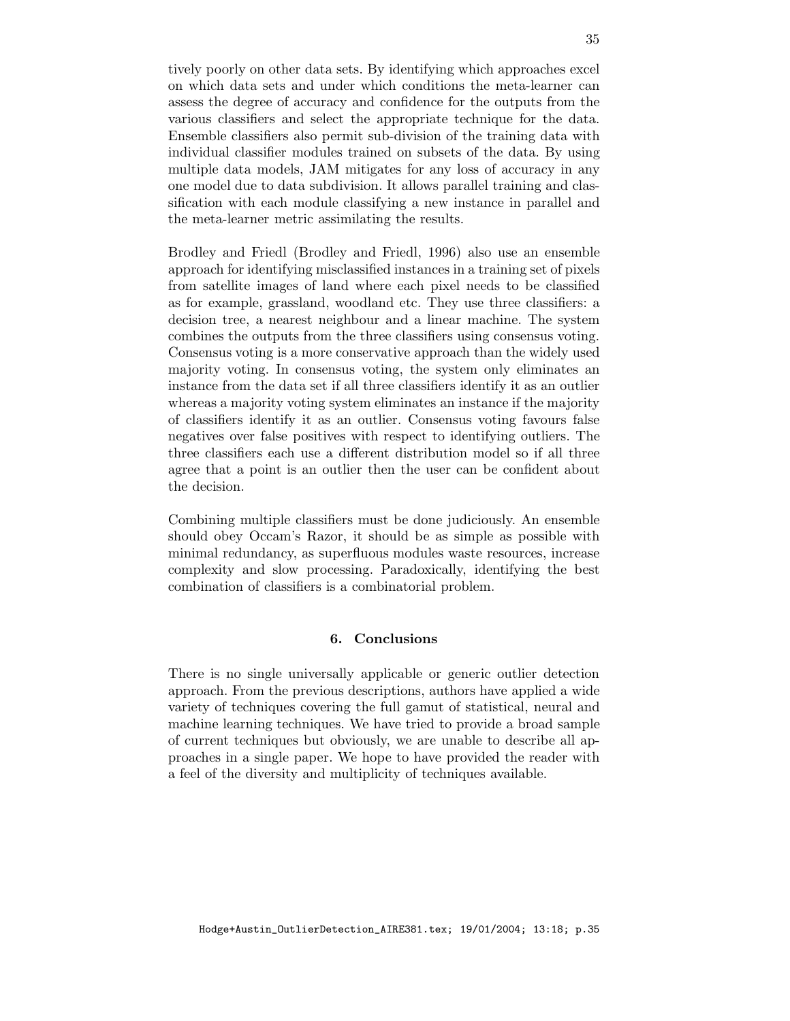tively poorly on other data sets. By identifying which approaches excel on which data sets and under which conditions the meta-learner can assess the degree of accuracy and confidence for the outputs from the various classifiers and select the appropriate technique for the data. Ensemble classifiers also permit sub-division of the training data with individual classifier modules trained on subsets of the data. By using multiple data models, JAM mitigates for any loss of accuracy in any one model due to data subdivision. It allows parallel training and classification with each module classifying a new instance in parallel and the meta-learner metric assimilating the results.

Brodley and Friedl (Brodley and Friedl, 1996) also use an ensemble approach for identifying misclassified instances in a training set of pixels from satellite images of land where each pixel needs to be classified as for example, grassland, woodland etc. They use three classifiers: a decision tree, a nearest neighbour and a linear machine. The system combines the outputs from the three classifiers using consensus voting. Consensus voting is a more conservative approach than the widely used majority voting. In consensus voting, the system only eliminates an instance from the data set if all three classifiers identify it as an outlier whereas a majority voting system eliminates an instance if the majority of classifiers identify it as an outlier. Consensus voting favours false negatives over false positives with respect to identifying outliers. The three classifiers each use a different distribution model so if all three agree that a point is an outlier then the user can be confident about the decision.

Combining multiple classifiers must be done judiciously. An ensemble should obey Occam's Razor, it should be as simple as possible with minimal redundancy, as superfluous modules waste resources, increase complexity and slow processing. Paradoxically, identifying the best combination of classifiers is a combinatorial problem.

#### 6. Conclusions

There is no single universally applicable or generic outlier detection approach. From the previous descriptions, authors have applied a wide variety of techniques covering the full gamut of statistical, neural and machine learning techniques. We have tried to provide a broad sample of current techniques but obviously, we are unable to describe all approaches in a single paper. We hope to have provided the reader with a feel of the diversity and multiplicity of techniques available.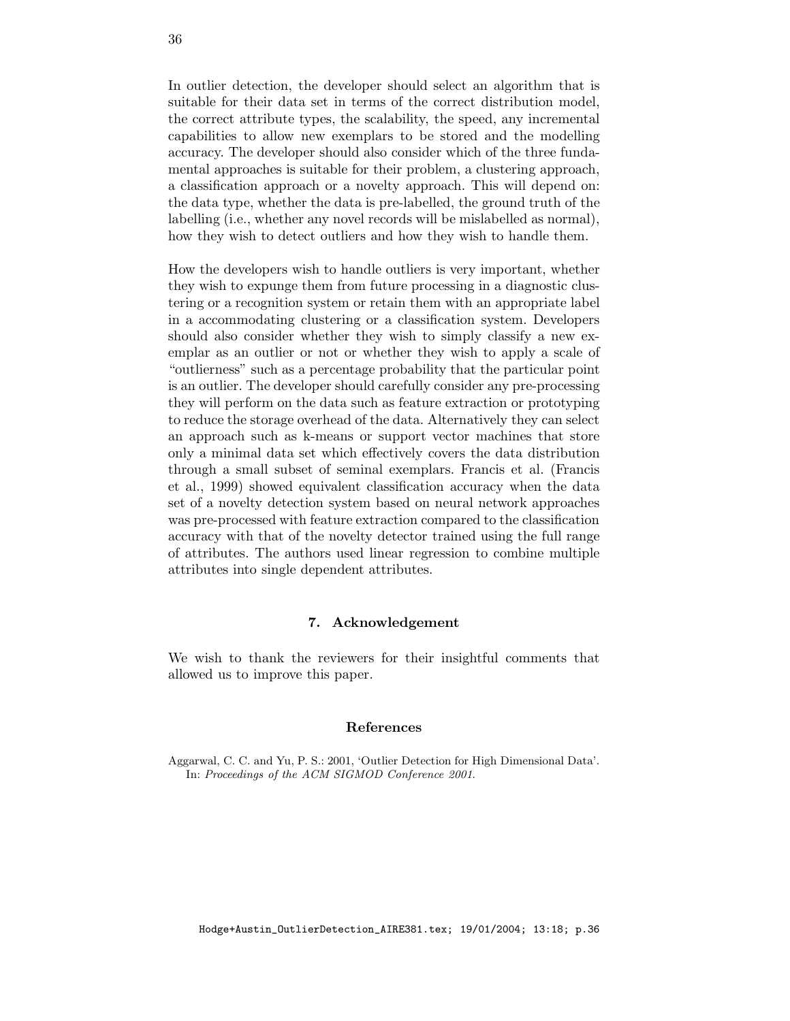In outlier detection, the developer should select an algorithm that is suitable for their data set in terms of the correct distribution model, the correct attribute types, the scalability, the speed, any incremental capabilities to allow new exemplars to be stored and the modelling accuracy. The developer should also consider which of the three fundamental approaches is suitable for their problem, a clustering approach, a classification approach or a novelty approach. This will depend on: the data type, whether the data is pre-labelled, the ground truth of the labelling (i.e., whether any novel records will be mislabelled as normal), how they wish to detect outliers and how they wish to handle them.

How the developers wish to handle outliers is very important, whether they wish to expunge them from future processing in a diagnostic clustering or a recognition system or retain them with an appropriate label in a accommodating clustering or a classification system. Developers should also consider whether they wish to simply classify a new exemplar as an outlier or not or whether they wish to apply a scale of "outlierness" such as a percentage probability that the particular point is an outlier. The developer should carefully consider any pre-processing they will perform on the data such as feature extraction or prototyping to reduce the storage overhead of the data. Alternatively they can select an approach such as k-means or support vector machines that store only a minimal data set which effectively covers the data distribution through a small subset of seminal exemplars. Francis et al. (Francis et al., 1999) showed equivalent classification accuracy when the data set of a novelty detection system based on neural network approaches was pre-processed with feature extraction compared to the classification accuracy with that of the novelty detector trained using the full range of attributes. The authors used linear regression to combine multiple attributes into single dependent attributes.

# 7. Acknowledgement

We wish to thank the reviewers for their insightful comments that allowed us to improve this paper.

#### References

Aggarwal, C. C. and Yu, P. S.: 2001, 'Outlier Detection for High Dimensional Data'. In: *Proceedings of the ACM SIGMOD Conference 2001*.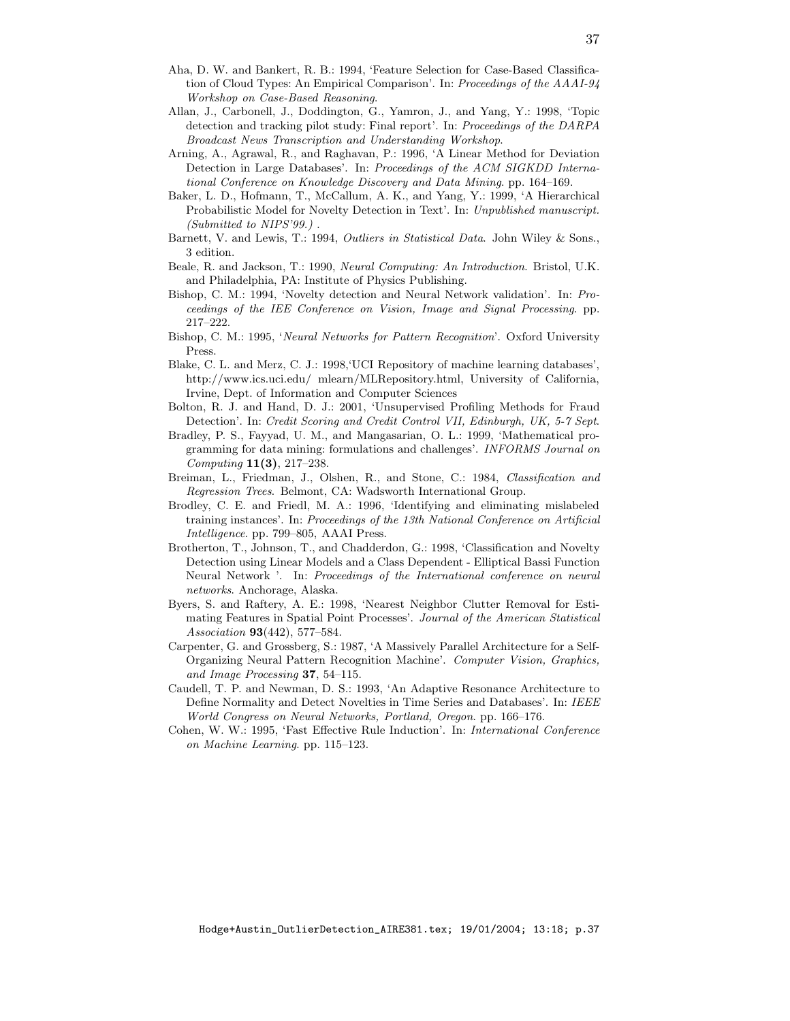- Aha, D. W. and Bankert, R. B.: 1994, 'Feature Selection for Case-Based Classification of Cloud Types: An Empirical Comparison'. In: *Proceedings of the AAAI-94 Workshop on Case-Based Reasoning*.
- Allan, J., Carbonell, J., Doddington, G., Yamron, J., and Yang, Y.: 1998, 'Topic detection and tracking pilot study: Final report'. In: *Proceedings of the DARPA Broadcast News Transcription and Understanding Workshop*.
- Arning, A., Agrawal, R., and Raghavan, P.: 1996, 'A Linear Method for Deviation Detection in Large Databases'. In: *Proceedings of the ACM SIGKDD International Conference on Knowledge Discovery and Data Mining*. pp. 164–169.
- Baker, L. D., Hofmann, T., McCallum, A. K., and Yang, Y.: 1999, 'A Hierarchical Probabilistic Model for Novelty Detection in Text'. In: *Unpublished manuscript. (Submitted to NIPS'99.)* .
- Barnett, V. and Lewis, T.: 1994, *Outliers in Statistical Data*. John Wiley & Sons., 3 edition.
- Beale, R. and Jackson, T.: 1990, *Neural Computing: An Introduction*. Bristol, U.K. and Philadelphia, PA: Institute of Physics Publishing.
- Bishop, C. M.: 1994, 'Novelty detection and Neural Network validation'. In: *Proceedings of the IEE Conference on Vision, Image and Signal Processing*. pp. 217–222.
- Bishop, C. M.: 1995, '*Neural Networks for Pattern Recognition*'. Oxford University Press.
- Blake, C. L. and Merz, C. J.: 1998,'UCI Repository of machine learning databases', http://www.ics.uci.edu/ mlearn/MLRepository.html, University of California, Irvine, Dept. of Information and Computer Sciences
- Bolton, R. J. and Hand, D. J.: 2001, 'Unsupervised Profiling Methods for Fraud Detection'. In: *Credit Scoring and Credit Control VII, Edinburgh, UK, 5-7 Sept*.
- Bradley, P. S., Fayyad, U. M., and Mangasarian, O. L.: 1999, 'Mathematical programming for data mining: formulations and challenges'. *INFORMS Journal on Computing* 11(3), 217–238.
- Breiman, L., Friedman, J., Olshen, R., and Stone, C.: 1984, *Classification and Regression Trees*. Belmont, CA: Wadsworth International Group.
- Brodley, C. E. and Friedl, M. A.: 1996, 'Identifying and eliminating mislabeled training instances'. In: *Proceedings of the 13th National Conference on Artificial Intelligence*. pp. 799–805, AAAI Press.
- Brotherton, T., Johnson, T., and Chadderdon, G.: 1998, 'Classification and Novelty Detection using Linear Models and a Class Dependent - Elliptical Bassi Function Neural Network '. In: *Proceedings of the International conference on neural networks*. Anchorage, Alaska.
- Byers, S. and Raftery, A. E.: 1998, 'Nearest Neighbor Clutter Removal for Estimating Features in Spatial Point Processes'. *Journal of the American Statistical Association* 93(442), 577–584.
- Carpenter, G. and Grossberg, S.: 1987, 'A Massively Parallel Architecture for a Self-Organizing Neural Pattern Recognition Machine'. *Computer Vision, Graphics, and Image Processing* 37, 54–115.
- Caudell, T. P. and Newman, D. S.: 1993, 'An Adaptive Resonance Architecture to Define Normality and Detect Novelties in Time Series and Databases'. In: *IEEE World Congress on Neural Networks, Portland, Oregon*. pp. 166–176.
- Cohen, W. W.: 1995, 'Fast Effective Rule Induction'. In: *International Conference on Machine Learning*. pp. 115–123.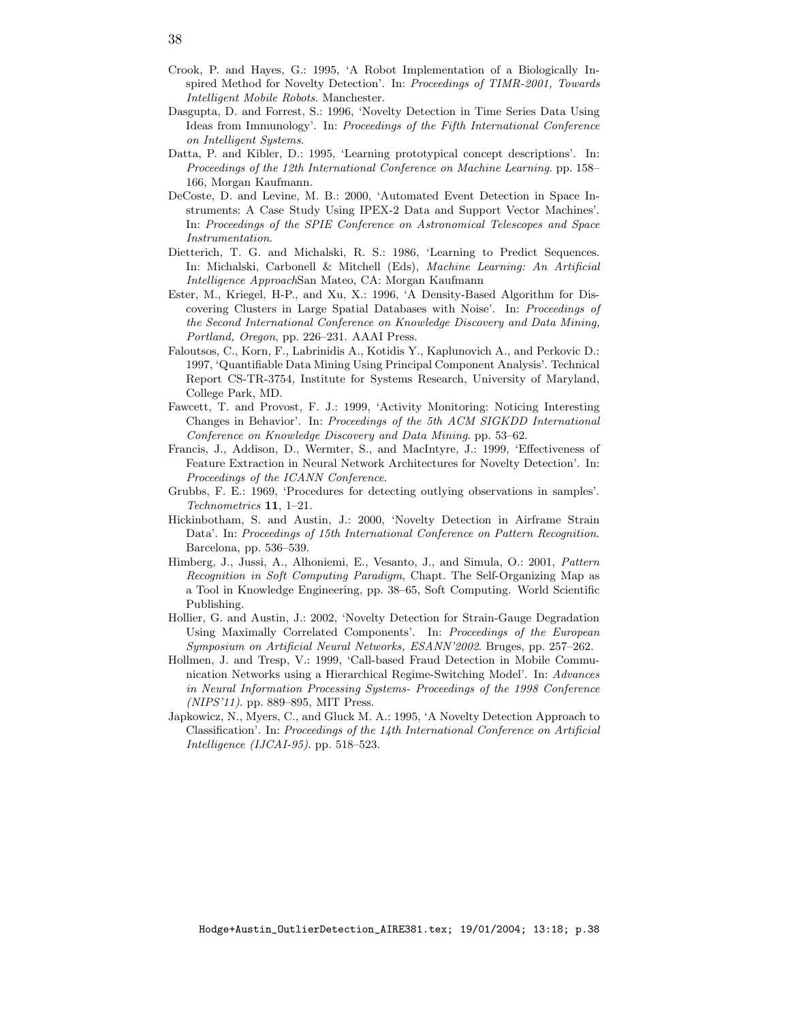- Crook, P. and Hayes, G.: 1995, 'A Robot Implementation of a Biologically Inspired Method for Novelty Detection'. In: *Proceedings of TIMR-2001, Towards Intelligent Mobile Robots*. Manchester.
- Dasgupta, D. and Forrest, S.: 1996, 'Novelty Detection in Time Series Data Using Ideas from Immunology'. In: *Proceedings of the Fifth International Conference on Intelligent Systems*.
- Datta, P. and Kibler, D.: 1995, 'Learning prototypical concept descriptions'. In: *Proceedings of the 12th International Conference on Machine Learning*. pp. 158– 166, Morgan Kaufmann.
- DeCoste, D. and Levine, M. B.: 2000, 'Automated Event Detection in Space Instruments: A Case Study Using IPEX-2 Data and Support Vector Machines'. In: *Proceedings of the SPIE Conference on Astronomical Telescopes and Space Instrumentation*.
- Dietterich, T. G. and Michalski, R. S.: 1986, 'Learning to Predict Sequences. In: Michalski, Carbonell & Mitchell (Eds), *Machine Learning: An Artificial Intelligence Approach*San Mateo, CA: Morgan Kaufmann
- Ester, M., Kriegel, H-P., and Xu, X.: 1996, 'A Density-Based Algorithm for Discovering Clusters in Large Spatial Databases with Noise'. In: *Proceedings of the Second International Conference on Knowledge Discovery and Data Mining, Portland, Oregon*, pp. 226–231. AAAI Press.
- Faloutsos, C., Korn, F., Labrinidis A., Kotidis Y., Kaplunovich A., and Perkovic D.: 1997, 'Quantifiable Data Mining Using Principal Component Analysis'. Technical Report CS-TR-3754, Institute for Systems Research, University of Maryland, College Park, MD.
- Fawcett, T. and Provost, F. J.: 1999, 'Activity Monitoring: Noticing Interesting Changes in Behavior'. In: *Proceedings of the 5th ACM SIGKDD International Conference on Knowledge Discovery and Data Mining*. pp. 53–62.
- Francis, J., Addison, D., Wermter, S., and MacIntyre, J.: 1999, 'Effectiveness of Feature Extraction in Neural Network Architectures for Novelty Detection'. In: *Proceedings of the ICANN Conference*.
- Grubbs, F. E.: 1969, 'Procedures for detecting outlying observations in samples'. *Technometrics* 11, 1–21.
- Hickinbotham, S. and Austin, J.: 2000, 'Novelty Detection in Airframe Strain Data'. In: *Proceedings of 15th International Conference on Pattern Recognition*. Barcelona, pp. 536–539.
- Himberg, J., Jussi, A., Alhoniemi, E., Vesanto, J., and Simula, O.: 2001, *Pattern Recognition in Soft Computing Paradigm*, Chapt. The Self-Organizing Map as a Tool in Knowledge Engineering, pp. 38–65, Soft Computing. World Scientific Publishing.
- Hollier, G. and Austin, J.: 2002, 'Novelty Detection for Strain-Gauge Degradation Using Maximally Correlated Components'. In: *Proceedings of the European Symposium on Artificial Neural Networks, ESANN'2002*. Bruges, pp. 257–262.
- Hollmen, J. and Tresp, V.: 1999, 'Call-based Fraud Detection in Mobile Communication Networks using a Hierarchical Regime-Switching Model'. In: *Advances in Neural Information Processing Systems- Proceedings of the 1998 Conference (NIPS'11)*. pp. 889–895, MIT Press.
- Japkowicz, N., Myers, C., and Gluck M. A.: 1995, 'A Novelty Detection Approach to Classification'. In: *Proceedings of the 14th International Conference on Artificial Intelligence (IJCAI-95)*. pp. 518–523.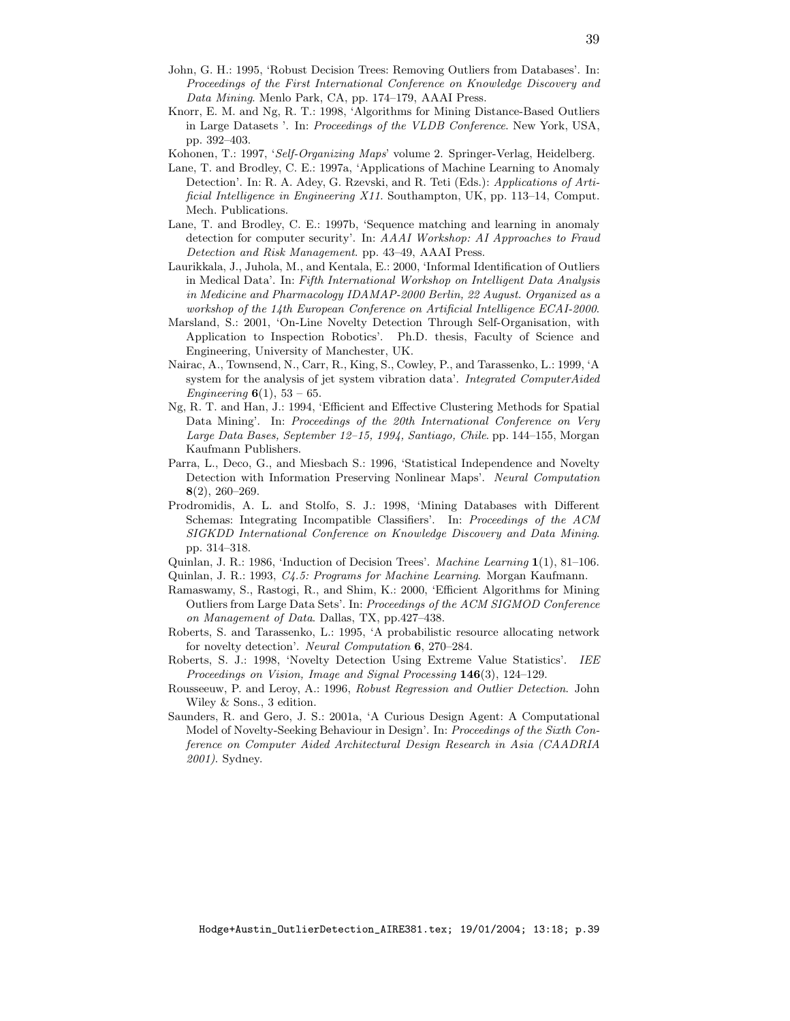- John, G. H.: 1995, 'Robust Decision Trees: Removing Outliers from Databases'. In: *Proceedings of the First International Conference on Knowledge Discovery and Data Mining*. Menlo Park, CA, pp. 174–179, AAAI Press.
- Knorr, E. M. and Ng, R. T.: 1998, 'Algorithms for Mining Distance-Based Outliers in Large Datasets '. In: *Proceedings of the VLDB Conference*. New York, USA, pp. 392–403.
- Kohonen, T.: 1997, '*Self-Organizing Maps*' volume 2. Springer-Verlag, Heidelberg.
- Lane, T. and Brodley, C. E.: 1997a, 'Applications of Machine Learning to Anomaly Detection'. In: R. A. Adey, G. Rzevski, and R. Teti (Eds.): *Applications of Artificial Intelligence in Engineering X11*. Southampton, UK, pp. 113–14, Comput. Mech. Publications.
- Lane, T. and Brodley, C. E.: 1997b, 'Sequence matching and learning in anomaly detection for computer security'. In: *AAAI Workshop: AI Approaches to Fraud Detection and Risk Management*. pp. 43–49, AAAI Press.
- Laurikkala, J., Juhola, M., and Kentala, E.: 2000, 'Informal Identification of Outliers in Medical Data'. In: *Fifth International Workshop on Intelligent Data Analysis in Medicine and Pharmacology IDAMAP-2000 Berlin, 22 August. Organized as a workshop of the 14th European Conference on Artificial Intelligence ECAI-2000*.
- Marsland, S.: 2001, 'On-Line Novelty Detection Through Self-Organisation, with Application to Inspection Robotics'. Ph.D. thesis, Faculty of Science and Engineering, University of Manchester, UK.
- Nairac, A., Townsend, N., Carr, R., King, S., Cowley, P., and Tarassenko, L.: 1999, 'A system for the analysis of jet system vibration data'. *Integrated ComputerAided Engineering* 6(1), 53 – 65.
- Ng, R. T. and Han, J.: 1994, 'Efficient and Effective Clustering Methods for Spatial Data Mining'. In: *Proceedings of the 20th International Conference on Very Large Data Bases, September 12–15, 1994, Santiago, Chile*. pp. 144–155, Morgan Kaufmann Publishers.
- Parra, L., Deco, G., and Miesbach S.: 1996, 'Statistical Independence and Novelty Detection with Information Preserving Nonlinear Maps'. *Neural Computation* 8(2), 260–269.
- Prodromidis, A. L. and Stolfo, S. J.: 1998, 'Mining Databases with Different Schemas: Integrating Incompatible Classifiers'. In: *Proceedings of the ACM SIGKDD International Conference on Knowledge Discovery and Data Mining*. pp. 314–318.
- Quinlan, J. R.: 1986, 'Induction of Decision Trees'. *Machine Learning* 1(1), 81–106.
- Quinlan, J. R.: 1993, *C4.5: Programs for Machine Learning*. Morgan Kaufmann.
- Ramaswamy, S., Rastogi, R., and Shim, K.: 2000, 'Efficient Algorithms for Mining Outliers from Large Data Sets'. In: *Proceedings of the ACM SIGMOD Conference on Management of Data*. Dallas, TX, pp.427–438.
- Roberts, S. and Tarassenko, L.: 1995, 'A probabilistic resource allocating network for novelty detection'. *Neural Computation* 6, 270–284.
- Roberts, S. J.: 1998, 'Novelty Detection Using Extreme Value Statistics'. *IEE Proceedings on Vision, Image and Signal Processing* 146(3), 124–129.
- Rousseeuw, P. and Leroy, A.: 1996, *Robust Regression and Outlier Detection*. John Wiley & Sons., 3 edition.
- Saunders, R. and Gero, J. S.: 2001a, 'A Curious Design Agent: A Computational Model of Novelty-Seeking Behaviour in Design'. In: *Proceedings of the Sixth Conference on Computer Aided Architectural Design Research in Asia (CAADRIA 2001)*. Sydney.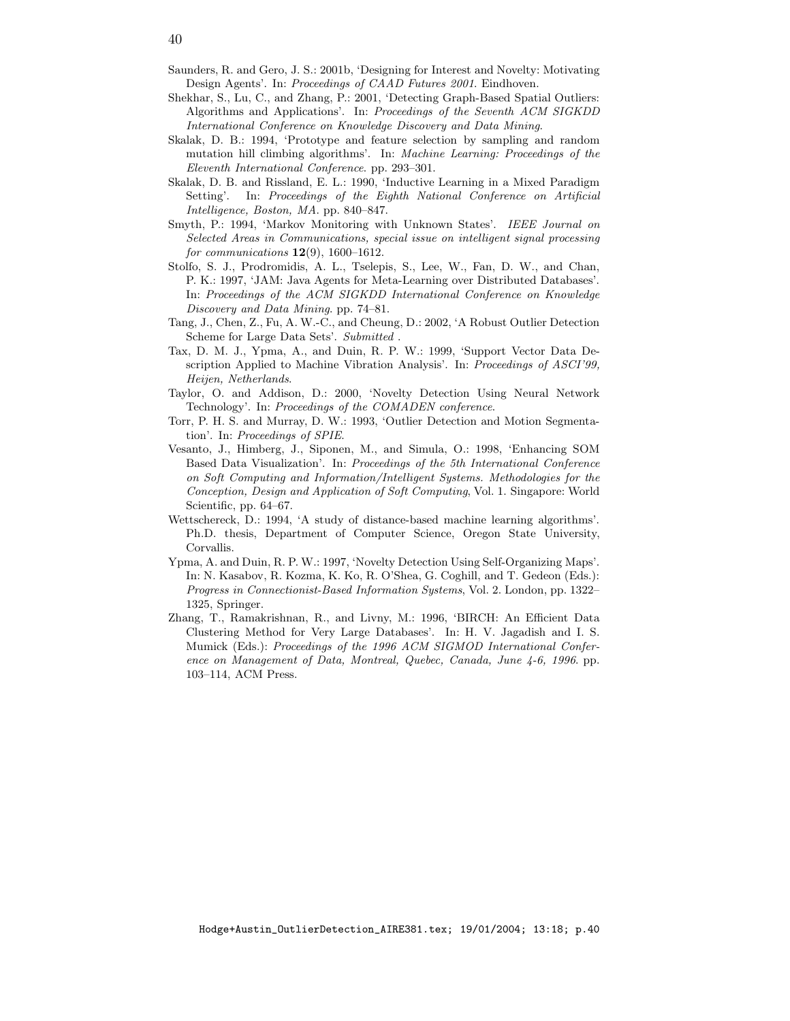- Saunders, R. and Gero, J. S.: 2001b, 'Designing for Interest and Novelty: Motivating Design Agents'. In: *Proceedings of CAAD Futures 2001*. Eindhoven.
- Shekhar, S., Lu, C., and Zhang, P.: 2001, 'Detecting Graph-Based Spatial Outliers: Algorithms and Applications'. In: *Proceedings of the Seventh ACM SIGKDD International Conference on Knowledge Discovery and Data Mining*.
- Skalak, D. B.: 1994, 'Prototype and feature selection by sampling and random mutation hill climbing algorithms'. In: *Machine Learning: Proceedings of the Eleventh International Conference*. pp. 293–301.
- Skalak, D. B. and Rissland, E. L.: 1990, 'Inductive Learning in a Mixed Paradigm Setting'. In: *Proceedings of the Eighth National Conference on Artificial Intelligence, Boston, MA*. pp. 840–847.
- Smyth, P.: 1994, 'Markov Monitoring with Unknown States'. *IEEE Journal on Selected Areas in Communications, special issue on intelligent signal processing for communications* 12(9), 1600–1612.
- Stolfo, S. J., Prodromidis, A. L., Tselepis, S., Lee, W., Fan, D. W., and Chan, P. K.: 1997, 'JAM: Java Agents for Meta-Learning over Distributed Databases'. In: *Proceedings of the ACM SIGKDD International Conference on Knowledge Discovery and Data Mining*. pp. 74–81.
- Tang, J., Chen, Z., Fu, A. W.-C., and Cheung, D.: 2002, 'A Robust Outlier Detection Scheme for Large Data Sets'. *Submitted* .
- Tax, D. M. J., Ypma, A., and Duin, R. P. W.: 1999, 'Support Vector Data Description Applied to Machine Vibration Analysis'. In: *Proceedings of ASCI'99, Heijen, Netherlands*.
- Taylor, O. and Addison, D.: 2000, 'Novelty Detection Using Neural Network Technology'. In: *Proceedings of the COMADEN conference*.
- Torr, P. H. S. and Murray, D. W.: 1993, 'Outlier Detection and Motion Segmentation'. In: *Proceedings of SPIE*.
- Vesanto, J., Himberg, J., Siponen, M., and Simula, O.: 1998, 'Enhancing SOM Based Data Visualization'. In: *Proceedings of the 5th International Conference on Soft Computing and Information/Intelligent Systems. Methodologies for the Conception, Design and Application of Soft Computing*, Vol. 1. Singapore: World Scientific, pp. 64–67.
- Wettschereck, D.: 1994, 'A study of distance-based machine learning algorithms'. Ph.D. thesis, Department of Computer Science, Oregon State University, Corvallis.
- Ypma, A. and Duin, R. P. W.: 1997, 'Novelty Detection Using Self-Organizing Maps'. In: N. Kasabov, R. Kozma, K. Ko, R. O'Shea, G. Coghill, and T. Gedeon (Eds.): *Progress in Connectionist-Based Information Systems*, Vol. 2. London, pp. 1322– 1325, Springer.
- Zhang, T., Ramakrishnan, R., and Livny, M.: 1996, 'BIRCH: An Efficient Data Clustering Method for Very Large Databases'. In: H. V. Jagadish and I. S. Mumick (Eds.): *Proceedings of the 1996 ACM SIGMOD International Conference on Management of Data, Montreal, Quebec, Canada, June 4-6, 1996*. pp. 103–114, ACM Press.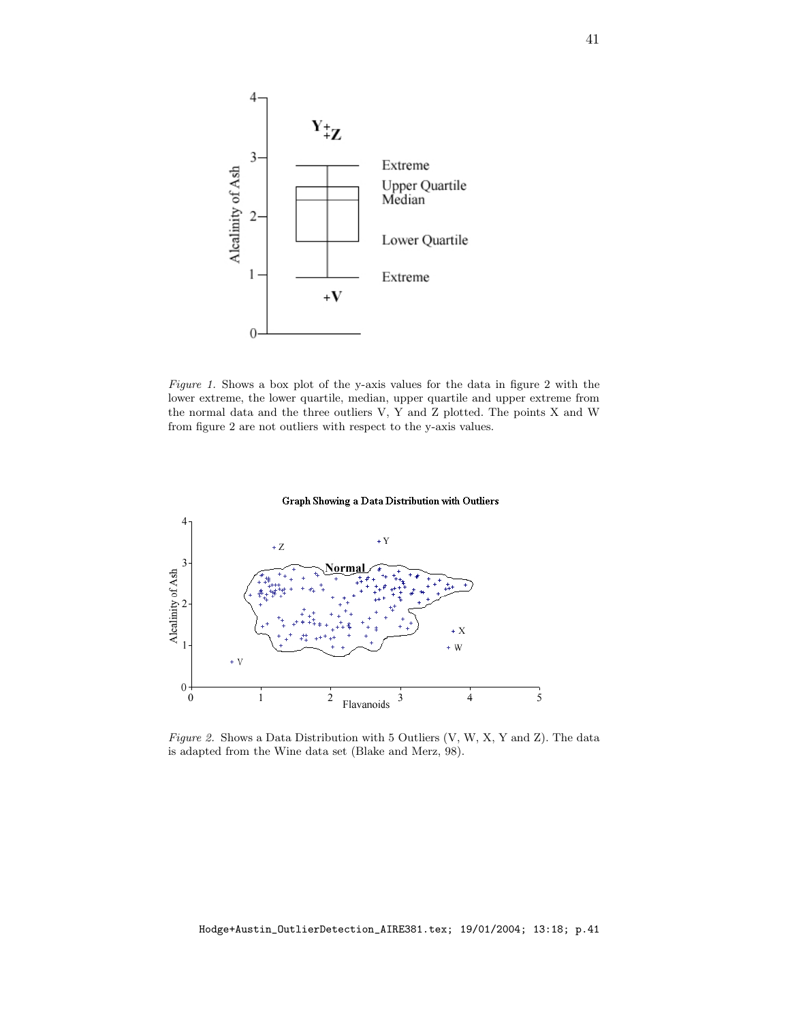

*Figure 1.* Shows a box plot of the y-axis values for the data in figure 2 with the lower extreme, the lower quartile, median, upper quartile and upper extreme from the normal data and the three outliers V, Y and Z plotted. The points X and W from figure 2 are not outliers with respect to the y-axis values.



*Figure 2.* Shows a Data Distribution with 5 Outliers (V, W, X, Y and Z). The data is adapted from the Wine data set (Blake and Merz, 98).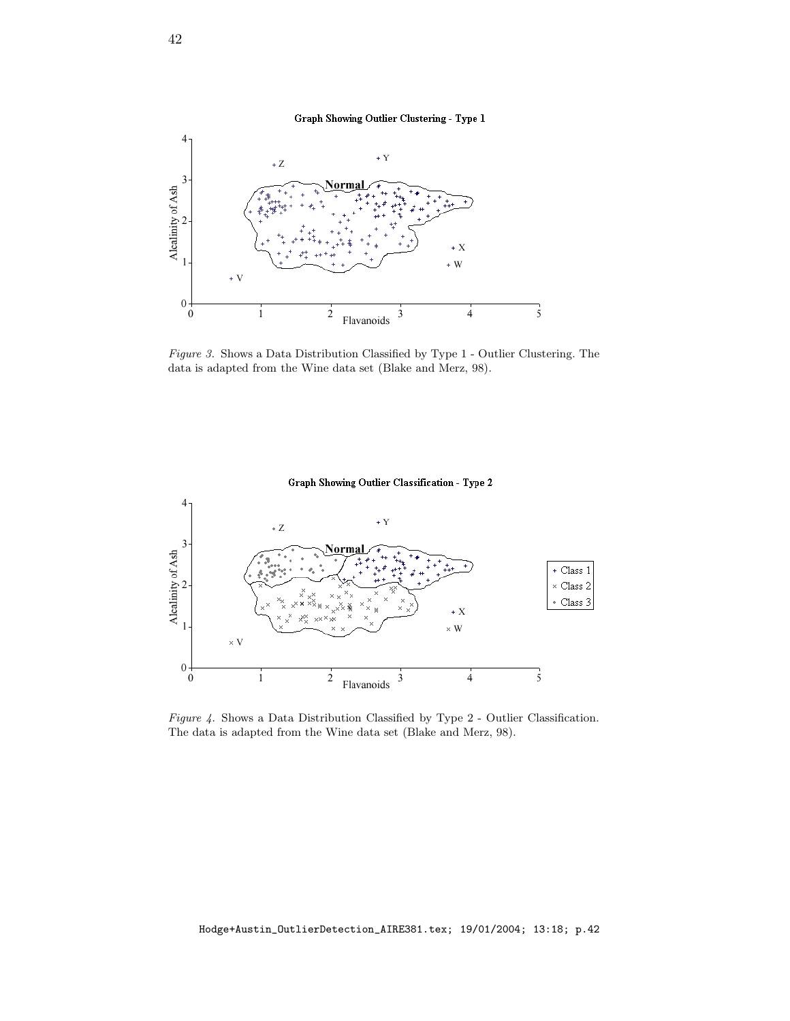

*Figure 3.* Shows a Data Distribution Classified by Type 1 - Outlier Clustering. The data is adapted from the Wine data set (Blake and Merz, 98).



*Figure 4.* Shows a Data Distribution Classified by Type 2 - Outlier Classification. The data is adapted from the Wine data set (Blake and Merz, 98).